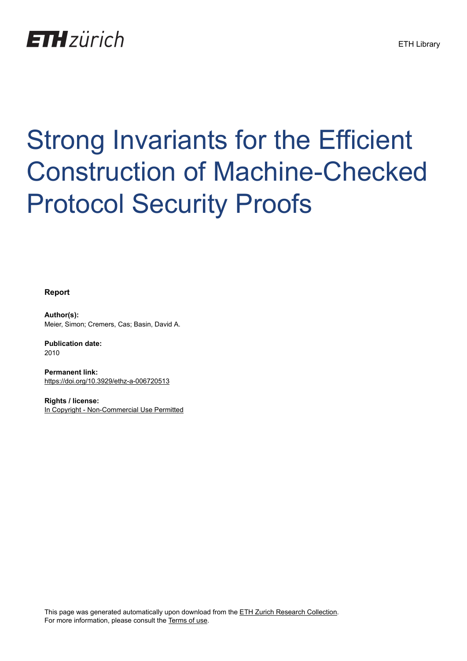

# Strong Invariants for the Efficient Construction of Machine-Checked Protocol Security Proofs

**Report**

**Author(s):** Meier, Simon; Cremers, Cas; Basin, David A.

**Publication date:** 2010

**Permanent link:** <https://doi.org/10.3929/ethz-a-006720513>

**Rights / license:** [In Copyright - Non-Commercial Use Permitted](http://rightsstatements.org/page/InC-NC/1.0/)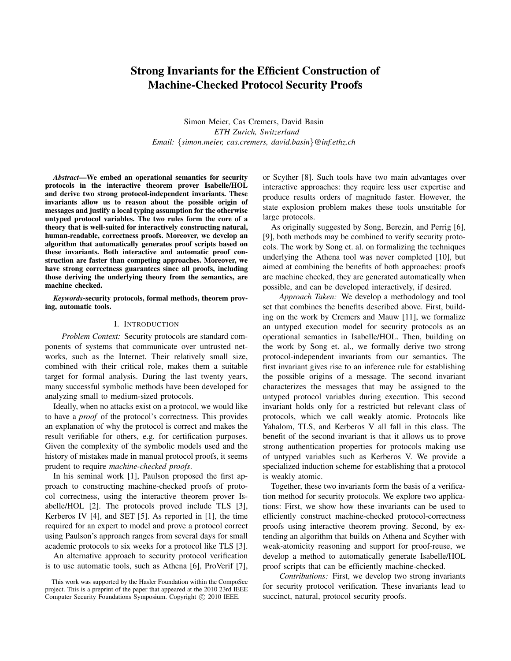# Strong Invariants for the Efficient Construction of Machine-Checked Protocol Security Proofs

Simon Meier, Cas Cremers, David Basin *ETH Zurich, Switzerland Email:* {*simon.meier, cas.cremers, david.basin*}*@inf.ethz.ch*

*Abstract*—We embed an operational semantics for security protocols in the interactive theorem prover Isabelle/HOL and derive two strong protocol-independent invariants. These invariants allow us to reason about the possible origin of messages and justify a local typing assumption for the otherwise untyped protocol variables. The two rules form the core of a theory that is well-suited for interactively constructing natural, human-readable, correctness proofs. Moreover, we develop an algorithm that automatically generates proof scripts based on these invariants. Both interactive and automatic proof construction are faster than competing approaches. Moreover, we have strong correctness guarantees since all proofs, including those deriving the underlying theory from the semantics, are machine checked.

*Keywords*-security protocols, formal methods, theorem proving, automatic tools.

#### I. INTRODUCTION

*Problem Context:* Security protocols are standard components of systems that communicate over untrusted networks, such as the Internet. Their relatively small size, combined with their critical role, makes them a suitable target for formal analysis. During the last twenty years, many successful symbolic methods have been developed for analyzing small to medium-sized protocols.

Ideally, when no attacks exist on a protocol, we would like to have a *proof* of the protocol's correctness. This provides an explanation of why the protocol is correct and makes the result verifiable for others, e.g. for certification purposes. Given the complexity of the symbolic models used and the history of mistakes made in manual protocol proofs, it seems prudent to require *machine-checked proofs*.

In his seminal work [1], Paulson proposed the first approach to constructing machine-checked proofs of protocol correctness, using the interactive theorem prover Isabelle/HOL [2]. The protocols proved include TLS [3], Kerberos IV [4], and SET [5]. As reported in [1], the time required for an expert to model and prove a protocol correct using Paulson's approach ranges from several days for small academic protocols to six weeks for a protocol like TLS [3].

An alternative approach to security protocol verification is to use automatic tools, such as Athena [6], ProVerif [7], or Scyther [8]. Such tools have two main advantages over interactive approaches: they require less user expertise and produce results orders of magnitude faster. However, the state explosion problem makes these tools unsuitable for large protocols.

As originally suggested by Song, Berezin, and Perrig [6], [9], both methods may be combined to verify security protocols. The work by Song et. al. on formalizing the techniques underlying the Athena tool was never completed [10], but aimed at combining the benefits of both approaches: proofs are machine checked, they are generated automatically when possible, and can be developed interactively, if desired.

*Approach Taken:* We develop a methodology and tool set that combines the benefits described above. First, building on the work by Cremers and Mauw [11], we formalize an untyped execution model for security protocols as an operational semantics in Isabelle/HOL. Then, building on the work by Song et. al., we formally derive two strong protocol-independent invariants from our semantics. The first invariant gives rise to an inference rule for establishing the possible origins of a message. The second invariant characterizes the messages that may be assigned to the untyped protocol variables during execution. This second invariant holds only for a restricted but relevant class of protocols, which we call weakly atomic. Protocols like Yahalom, TLS, and Kerberos V all fall in this class. The benefit of the second invariant is that it allows us to prove strong authentication properties for protocols making use of untyped variables such as Kerberos V. We provide a specialized induction scheme for establishing that a protocol is weakly atomic.

Together, these two invariants form the basis of a verification method for security protocols. We explore two applications: First, we show how these invariants can be used to efficiently construct machine-checked protocol-correctness proofs using interactive theorem proving. Second, by extending an algorithm that builds on Athena and Scyther with weak-atomicity reasoning and support for proof-reuse, we develop a method to automatically generate Isabelle/HOL proof scripts that can be efficiently machine-checked.

*Contributions:* First, we develop two strong invariants for security protocol verification. These invariants lead to succinct, natural, protocol security proofs.

This work was supported by the Hasler Foundation within the CompoSec project. This is a preprint of the paper that appeared at the 2010 23rd IEEE Computer Security Foundations Symposium. Copyright © 2010 IEEE.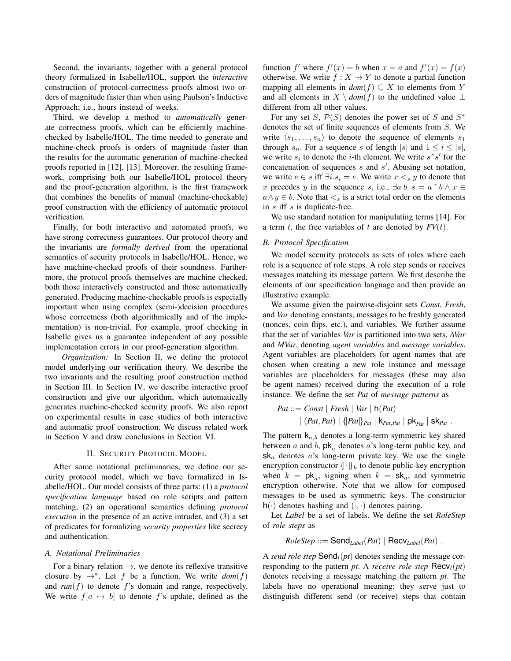Second, the invariants, together with a general protocol theory formalized in Isabelle/HOL, support the *interactive* construction of protocol-correctness proofs almost two orders of magnitude faster than when using Paulson's Inductive Approach; i.e., hours instead of weeks.

Third, we develop a method to *automatically* generate correctness proofs, which can be efficiently machinechecked by Isabelle/HOL. The time needed to generate and machine-check proofs is orders of magnitude faster than the results for the automatic generation of machine-checked proofs reported in [12], [13]. Moreover, the resulting framework, comprising both our Isabelle/HOL protocol theory and the proof-generation algorithm, is the first framework that combines the benefits of manual (machine-checkable) proof construction with the efficiency of automatic protocol verification.

Finally, for both interactive and automated proofs, we have strong correctness guarantees. Our protocol theory and the invariants are *formally derived* from the operational semantics of security protocols in Isabelle/HOL. Hence, we have machine-checked proofs of their soundness. Furthermore, the protocol proofs themselves are machine checked, both those interactively constructed and those automatically generated. Producing machine-checkable proofs is especially important when using complex (semi-)decision procedures whose correctness (both algorithmically and of the implementation) is non-trivial. For example, proof checking in Isabelle gives us a guarantee independent of any possible implementation errors in our proof-generation algorithm.

*Organization:* In Section II, we define the protocol model underlying our verification theory. We describe the two invariants and the resulting proof construction method in Section III. In Section IV, we describe interactive proof construction and give our algorithm, which automatically generates machine-checked security proofs. We also report on experimental results in case studies of both interactive and automatic proof construction. We discuss related work in Section V and draw conclusions in Section VI.

#### II. SECURITY PROTOCOL MODEL

After some notational preliminaries, we define our security protocol model, which we have formalized in Isabelle/HOL. Our model consists of three parts: (1) a *protocol specification language* based on role scripts and pattern matching, (2) an operational semantics defining *protocol execution* in the presence of an active intruder, and (3) a set of predicates for formalizing *security properties* like secrecy and authentication.

## *A. Notational Preliminaries*

For a binary relation  $\rightarrow$ , we denote its reflexive transitive closure by  $\rightarrow^*$ . Let f be a function. We write  $dom(f)$ and  $ran(f)$  to denote f's domain and range, respectively. We write  $f[a \mapsto b]$  to denote f's update, defined as the

function f' where  $f'(x) = b$  when  $x = a$  and  $f'(x) = f(x)$ otherwise. We write  $f : X \rightarrow Y$  to denote a partial function mapping all elements in  $dom(f) \subseteq X$  to elements from Y and all elements in  $X \setminus dom(f)$  to the undefined value  $\bot$ different from all other values.

For any set S,  $P(S)$  denotes the power set of S and  $S^*$ denotes the set of finite sequences of elements from S. We write  $\langle s_1, \ldots, s_n \rangle$  to denote the sequence of elements  $s_1$ through  $s_n$ . For a sequence s of length |s| and  $1 \le i \le |s|$ , we write  $s_i$  to denote the *i*-th element. We write  $s \hat{\ } s'$  for the concatenation of sequences  $s$  and  $s'$ . Abusing set notation, we write  $e \in s$  iff  $\exists i.s_i = e$ . We write  $x \leq s$  y to denote that x precedes y in the sequence s, i.e.,  $\exists a \, b. \, s = a \land b \land x \in$  $a \wedge y \in b$ . Note that  $\leq_s$  is a strict total order on the elements in  $s$  iff  $s$  is duplicate-free.

We use standard notation for manipulating terms [14]. For a term t, the free variables of t are denoted by  $FV(t)$ .

# *B. Protocol Specification*

We model security protocols as sets of roles where each role is a sequence of role steps. A role step sends or receives messages matching its message pattern. We first describe the elements of our specification language and then provide an illustrative example.

We assume given the pairwise-disjoint sets *Const*, *Fresh*, and *Var* denoting constants, messages to be freshly generated (nonces, coin flips, etc.), and variables. We further assume that the set of variables *Var* is partitioned into two sets, *AVar* and *MVar*, denoting *agent variables* and *message variables*. Agent variables are placeholders for agent names that are chosen when creating a new role instance and message variables are placeholders for messages (these may also be agent names) received during the execution of a role instance. We define the set *Pat* of *message patterns* as

$$
Pat ::= Const | \text{ Fresh} | \text{Var} | h(Pat)
$$

$$
| (Pat, Pat) | \{ Pat \} _{Pat} | k_{rat, Pat} | pk_{pat} | sk_{Pat} .
$$

The pattern  $k_{a,b}$  denotes a long-term symmetric key shared between a and b,  $pk_a$  denotes a's long-term public key, and  $sk_a$  denotes a's long-term private key. We use the single encryption constructor  $\{\cdot\}_k$  to denote public-key encryption when  $k = p k_a$ , signing when  $k = s k_a$ , and symmetric encryption otherwise. Note that we allow for composed messages to be used as symmetric keys. The constructor  $h(\cdot)$  denotes hashing and  $(\cdot, \cdot)$  denotes pairing.

Let *Label* be a set of labels. We define the set *RoleStep* of *role steps* as

$$
RoleStep ::= \mathsf{Send}_{Label}(Pat) | Recv_{Label}(Pat) .
$$

A *send role step*  $\text{Send}_l(pt)$  denotes sending the message corresponding to the pattern *pt*. A *receive role step*  $\text{Recv}_l(pt)$ denotes receiving a message matching the pattern *pt*. The labels have no operational meaning: they serve just to distinguish different send (or receive) steps that contain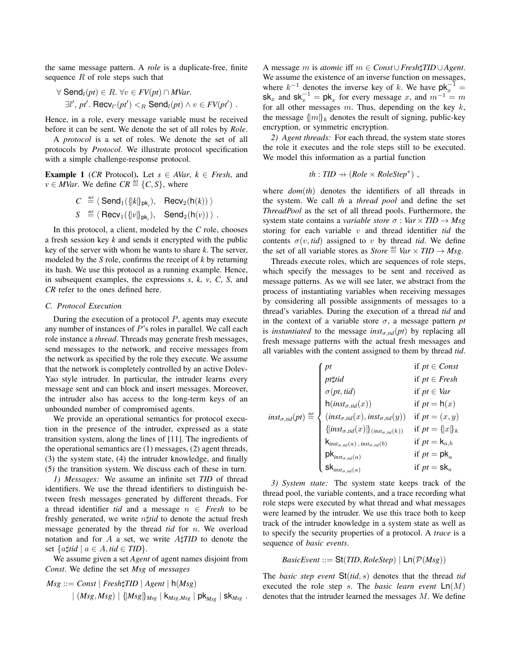the same message pattern. A *role* is a duplicate-free, finite sequence  $R$  of role steps such that

$$
\forall \operatorname{Send}_l(pt) \in R. \ \forall v \in FV(pt) \cap MVar.
$$
  
\n
$$
\exists l', \, pr'. \ \operatorname{Recv}_{l'}(pr') <_R \operatorname{Send}_l(pt) \land v \in FV(pt') .
$$

Hence, in a role, every message variable must be received before it can be sent. We denote the set of all roles by *Role*.

A *protocol* is a set of roles. We denote the set of all protocols by *Protocol*. We illustrate protocol specification with a simple challenge-response protocol.

**Example 1** (*CR* Protocol). Let  $s \in AVar$ ,  $k \in Fresh$ , and  $v \in MVar$ . We define  $CR \stackrel{\text{def}}{=} \{C, S\}$ , where

$$
C \stackrel{\text{def}}{=} \langle \text{Send}_1(\{|k\}_{\text{pk}_s}), \text{ Recv}_2(\text{h}(k)) \rangle
$$
  

$$
S \stackrel{\text{def}}{=} \langle \text{Recv}_1(\{|v\}_{\text{pk}_s}), \text{ Send}_2(\text{h}(v)) \rangle.
$$

In this protocol, a client, modeled by the *C* role, chooses a fresh session key *k* and sends it encrypted with the public key of the server with whom he wants to share *k*. The server, modeled by the *S* role, confirms the receipt of *k* by returning its hash. We use this protocol as a running example. Hence, in subsequent examples, the expressions *s*, *k*, *v*, *C*, *S*, and *CR* refer to the ones defined here.

#### *C. Protocol Execution*

During the execution of a protocol  $P$ , agents may execute any number of instances of P's roles in parallel. We call each role instance a *thread*. Threads may generate fresh messages, send messages to the network, and receive messages from the network as specified by the role they execute. We assume that the network is completely controlled by an active Dolev-Yao style intruder. In particular, the intruder learns every message sent and can block and insert messages. Moreover, the intruder also has access to the long-term keys of an unbounded number of compromised agents.

We provide an operational semantics for protocol execution in the presence of the intruder, expressed as a state transition system, along the lines of [11]. The ingredients of the operational semantics are (1) messages, (2) agent threads, (3) the system state, (4) the intruder knowledge, and finally (5) the transition system. We discuss each of these in turn.

*1) Messages:* We assume an infinite set *TID* of thread identifiers. We use the thread identifiers to distinguish between fresh messages generated by different threads. For a thread identifier *tid* and a message  $n \in$  *Fresh* to be freshly generated, we write  $n \sharp tid$  to denote the actual fresh message generated by the thread *tid* for n. We overload notation and for A a set, we write A $\sharp$ TID to denote the set  $\{a \sharp \text{tid} \mid a \in A, \text{tid} \in TID\}.$ 

We assume given a set *Agent* of agent names disjoint from *Const*. We define the set *Msg* of *messages*

$$
Msg ::= Const | Fresh\sharp TID | Agent | h(Msg)
$$
  
 | (Msg, Msg) | {Msg}  $|_{Msg}$  | K<sub>Msg,Msg</sub> | pK<sub>Msg</sub> | sK<sub>Msg</sub> .

A message m is *atomic* iff m ∈ *Const*∪*Fresh*]*TID* ∪*Agent*. We assume the existence of an inverse function on messages, where  $k^{-1}$  denotes the inverse key of k. We have  $\mathsf{pk}_{x}^{-1}$  =  $sk_x$  and  $sk_x^{-1} = pk_x$  for every message x, and  $m^{-1} = m$ for all other messages  $m$ . Thus, depending on the key  $k$ , the message  ${m_k \choose k}$  denotes the result of signing, public-key encryption, or symmetric encryption.

*2) Agent threads:* For each thread, the system state stores the role it executes and the role steps still to be executed. We model this information as a partial function

$$
th: TID \rightarrow (Role \times RoleStep^*)
$$
,

where *dom*(*th*) denotes the identifiers of all threads in the system. We call *th* a *thread pool* and define the set *ThreadPool* as the set of all thread pools. Furthermore, the system state contains a *variable store*  $\sigma$  : *Var*  $\times$  *TID*  $\rightarrow$  *Msg* storing for each variable v and thread identifier *tid* the contents  $\sigma(v, tid)$  assigned to v by thread *tid*. We define the set of all variable stores as *Store*  $\stackrel{\text{def}}{=}$  *Var*  $\times$  *TID*  $\rightarrow$  *Msg.* 

Threads execute roles, which are sequences of role steps, which specify the messages to be sent and received as message patterns. As we will see later, we abstract from the process of instantiating variables when receiving messages by considering all possible assignments of messages to a thread's variables. During the execution of a thread *tid* and in the context of a variable store  $\sigma$ , a message pattern *pt* is *instantiated* to the message *inst<sub>σ,tid</sub>*(*pt*) by replacing all fresh message patterns with the actual fresh messages and all variables with the content assigned to them by thread *tid*.

$$
inst_{\sigma, tid}(pt) \stackrel{\text{def}}{=} \begin{cases} pt & \text{if } pt \in Const \\ \text{if } pt \in {\text{Fresh}} \\ \sigma(pt, tid) & \text{if } pt = \mathsf{h}(x) \\ \text{f}(inst_{\sigma, tid}(x)) & \text{if } pt = \mathsf{h}(x) \\ (inst_{\sigma, tid}(x), inst_{\sigma, tid}(y)) & \text{if } pt = (x, y) \\ \{inst_{\sigma, tid}(x)\}_{(inst_{\sigma, vid}(k))} & \text{if } pt = \{x\}_{k} \\ \text{k}_{inst_{\sigma, tid}(a), inst_{\sigma, tid}(b)} & \text{if } pt = \mathsf{k}_{a,b} \\ \text{pk}_{inst_{\sigma, tid}(a)} & \text{if } pt = \mathsf{pk}_{a} \\ \text{sR}_{inst_{\sigma, tid}(a)} & \text{if } pt = \mathsf{sk}_{a} \end{cases}
$$

*3) System state:* The system state keeps track of the thread pool, the variable contents, and a trace recording what role steps were executed by what thread and what messages were learned by the intruder. We use this trace both to keep track of the intruder knowledge in a system state as well as to specify the security properties of a protocol. A *trace* is a sequence of *basic events*.

$$
BasicEvent ::= St(TID, RoleStep) | Ln(P(Msg))|
$$

The *basic step event* St(*tid*, s) denotes that the thread *tid* executed the role step s. The *basic learn event* Ln(M) denotes that the intruder learned the messages M. We define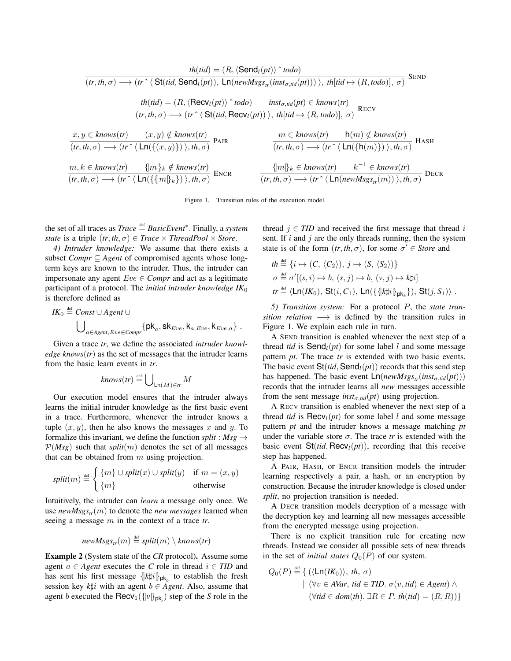$$
th(tid) = (R, \langle \text{Send}_l(pt) \rangle \land todo)
$$
\n
$$
(tr, th, \sigma) \longrightarrow (tr \langle \text{St}(tid, \text{Send}_l(pt)), \text{Ln}(newMsgs_r(inst_{\sigma, tid}(pt))) \rangle, th[tid \rightarrow (R, todo)], \sigma)
$$
\n
$$
th(tid) = (R, \langle \text{Recv}_l(pt) \rangle \land todo) \quad inst_{\sigma, tid}(pt) \in knows(tr)
$$
\n
$$
(tr, th, \sigma) \longrightarrow (tr \langle \text{St}(tid, \text{Recv}_l(pt)) \rangle, th[tid \rightarrow (R, todo)], \sigma)
$$
\n
$$
x, y \in knows(tr)
$$
\n
$$
(x, y) \notin knows(tr)
$$
\n
$$
(tr, th, \sigma) \longrightarrow (tr \langle \text{Ln}(\{(x, y)\}) \rangle, th, \sigma)
$$
\n
$$
P \text{AIR}
$$
\n
$$
m \in knows(tr)
$$
\n
$$
(tr, th, \sigma) \longrightarrow (tr \langle \text{Ln}(\{(x, y)\}) \rangle, th, \sigma)
$$
\n
$$
m, k \in knows(tr)
$$
\n
$$
(tr, th, \sigma) \longrightarrow (tr \langle \text{Ln}(\{\text{mB}_k\}) \rangle, th, \sigma)
$$
\n
$$
B \cap (tr, th, \sigma) \longrightarrow (tr \langle \text{Ln}(\{\text{mB}_k\}) \rangle, th, \sigma)
$$
\n
$$
B \cap (tr, th, \sigma) \longrightarrow (tr \langle \text{Ln}(newMsgs_r(m)) \rangle, th, \sigma)
$$
\n
$$
D \in \text{CR}
$$

Figure 1. Transition rules of the execution model.

the set of all traces as *Trace*  $\stackrel{\text{def}}{=} BasicEvent^*$ . Finally, a *system state* is a triple  $(tr, th, \sigma) \in Trace \times ThreadPool \times Store$ .

*4) Intruder knowledge:* We assume that there exists a subset *Compr* ⊆ *Agent* of compromised agents whose longterm keys are known to the intruder. Thus, the intruder can impersonate any agent  $Eve \in Compr$  and act as a legitimate participant of a protocol. The *initial intruder knowledge IK*<sup>0</sup> is therefore defined as

$$
IK_0 \stackrel{\text{def}}{=} \text{Const} \cup \text{Agent} \cup
$$
  

$$
\bigcup_{a \in \text{Agent}, Eve \in \text{Compr}} \{pk_a, sk_{Eve}, k_{a, Eve}, k_{Eve,a}\}.
$$

Given a trace *tr*, we define the associated *intruder knowledge knows*(*tr*) as the set of messages that the intruder learns from the basic learn events in *tr*.

$$
knows(tr) \stackrel{\text{def}}{=} \bigcup_{\text{Ln}(M) \in tr} M
$$

Our execution model ensures that the intruder always learns the initial intruder knowledge as the first basic event in a trace. Furthermore, whenever the intruder knows a tuple  $(x, y)$ , then he also knows the messages x and y. To formalize this invariant, we define the function *split* :  $Msg \rightarrow$  $P(Msg)$  such that *split*(*m*) denotes the set of all messages that can be obtained from  $m$  using projection.

$$
split(m) \stackrel{\text{def}}{=} \begin{cases} \{m\} \cup split(x) \cup split(y) & \text{if } m = (x, y) \\ \{m\} & \text{otherwise} \end{cases}
$$

Intuitively, the intruder can *learn* a message only once. We use  $newMessage<sub>tr</sub>(m)$  to denote the *new messages* learned when seeing a message m in the context of a trace *tr*.

$$
newMsgs_{tr}(m) \stackrel{\text{def}}{=} split(m) \setminus knows(tr)
$$

Example 2 (System state of the *CR* protocol). Assume some agent  $a \in Agent$  executes the *C* role in thread  $i \in TID$  and has sent his first message  $\{k | i \}$ <sub>pk<sub>b</sub></sub> to establish the fresh session key  $k\sharp i$  with an agent  $b \in Agent$ . Also, assume that agent *b* executed the  $\text{Recv}_1(\{\nu\}_{\text{pk}_s})$  step of the *S* role in the

thread  $j \in TID$  and received the first message that thread i sent. If  $i$  and  $j$  are the only threads running, then the system state is of the form  $(tr, th, \sigma)$ , for some  $\sigma' \in Store$  and

$$
th \stackrel{\text{def}}{=} \{i \mapsto (C, \langle C_2 \rangle), j \mapsto (S, \langle S_2 \rangle)\}
$$
  
\n
$$
\sigma \stackrel{\text{def}}{=} \sigma'[(s, i) \mapsto b, (s, j) \mapsto b, (v, j) \mapsto k\sharp i]
$$
  
\n
$$
tr \stackrel{\text{def}}{=} \langle \text{Ln}(IK_0), \text{St}(i, C_1), \text{Ln}(\{\{k\sharp i\}\}_{\text{pk}_b}\}), \text{St}(j, S_1) \rangle.
$$

*5) Transition system:* For a protocol P, the *state transition relation*  $\longrightarrow$  is defined by the transition rules in Figure 1. We explain each rule in turn.

A SEND transition is enabled whenever the next step of a thread *tid* is  $\text{Send}_l(pt)$  for some label l and some message pattern *pt*. The trace *tr* is extended with two basic events. The basic event  $St(tid, Send<sub>l</sub>(pt))$  records that this send step has happened. The basic event  $\text{Ln}(newMsgs_{tr}(inst_{\sigma, tid}(pt)))$ records that the intruder learns all *new* messages accessible from the sent message  $inst_{\sigma, tid}(pt)$  using projection.

A RECV transition is enabled whenever the next step of a thread *tid* is  $\text{Recv}_l(pt)$  for some label l and some message pattern *pt* and the intruder knows a message matching *pt* under the variable store  $\sigma$ . The trace *tr* is extended with the basic event  $St(tid, Recv<sub>l</sub>(pt))$ , recording that this receive step has happened.

A PAIR, HASH, or ENCR transition models the intruder learning respectively a pair, a hash, or an encryption by construction. Because the intruder knowledge is closed under *split*, no projection transition is needed.

A DECR transition models decryption of a message with the decryption key and learning all new messages accessible from the encrypted message using projection.

There is no explicit transition rule for creating new threads. Instead we consider all possible sets of new threads in the set of *initial states*  $Q_0(P)$  of our system.

$$
Q_0(P) \stackrel{\text{def}}{=} \{ (\langle \text{Ln}(IK_0) \rangle, th, \sigma) \mid (\forall v \in AVar, tid \in TID. \sigma(v, tid) \in Agent) \land \newline (\forall tid \in dom(th). \exists R \in P. th(id) = (R, R)) \}
$$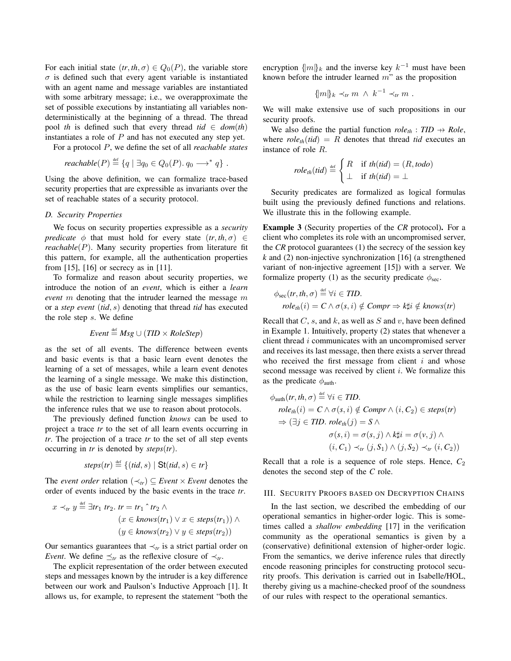For each initial state  $(tr, th, \sigma) \in Q_0(P)$ , the variable store  $\sigma$  is defined such that every agent variable is instantiated with an agent name and message variables are instantiated with some arbitrary message; i.e., we overapproximate the set of possible executions by instantiating all variables nondeterministically at the beginning of a thread. The thread pool *th* is defined such that every thread *tid*  $\in$  *dom*(*th*) instantiates a role of  $P$  and has not executed any step yet.

For a protocol P, we define the set of all *reachable states*

$$
reachable(P) \stackrel{\text{def}}{=} \{ q \mid \exists q_0 \in Q_0(P). q_0 \longrightarrow^* q \} .
$$

Using the above definition, we can formalize trace-based security properties that are expressible as invariants over the set of reachable states of a security protocol.

#### *D. Security Properties*

We focus on security properties expressible as a *security predicate*  $\phi$  that must hold for every state  $(tr, th, \sigma) \in$  $reachable(P)$ . Many security properties from literature fit this pattern, for example, all the authentication properties from [15], [16] or secrecy as in [11].

To formalize and reason about security properties, we introduce the notion of an *event*, which is either a *learn event* m denoting that the intruder learned the message m or a *step event* (*tid*, s) denoting that thread *tid* has executed the role step s. We define

*Event* 
$$
\stackrel{\text{def}}{=} \text{Msg} \cup (\text{TID} \times \text{RoleStep})
$$

as the set of all events. The difference between events and basic events is that a basic learn event denotes the learning of a set of messages, while a learn event denotes the learning of a single message. We make this distinction, as the use of basic learn events simplifies our semantics, while the restriction to learning single messages simplifies the inference rules that we use to reason about protocols.

The previously defined function *knows* can be used to project a trace *tr* to the set of all learn events occurring in *tr*. The projection of a trace *tr* to the set of all step events occurring in *tr* is denoted by *steps*(*tr*).

$$
steps(tr) \stackrel{\text{def}}{=} \{ (tid, s) \mid \mathsf{St}(tid, s) \in tr \}
$$

The *event order* relation  $(\prec_{tr}) \subseteq$  *Event* × *Event* denotes the order of events induced by the basic events in the trace *tr*.

$$
x \prec_{tr} y \stackrel{\text{def}}{=} \exists tr_1 \ tr_2. \ tr = tr_1 \hat{r}_2 \land
$$
  

$$
(x \in knows(tr_1) \lor x \in steps(tr_1)) \land
$$
  

$$
(y \in knows(tr_2) \lor y \in steps(tr_2))
$$

Our semantics guarantees that ≺*tr* is a strict partial order on *Event.* We define  $\preceq_{tr}$  as the reflexive closure of  $\prec_{tr}$ .

The explicit representation of the order between executed steps and messages known by the intruder is a key difference between our work and Paulson's Inductive Approach [1]. It allows us, for example, to represent the statement "both the

encryption  $\{m\}_k$  and the inverse key  $k^{-1}$  must have been known before the intruder learned  $m$ " as the proposition

$$
\{m\}_k \prec_{tr} m \wedge k^{-1} \prec_{tr} m .
$$

We will make extensive use of such propositions in our security proofs.

We also define the partial function  $role_{th}$  :  $TID \rightarrow Role$ , where  $role<sub>th</sub>(tid) = R$  denotes that thread *tid* executes an instance of role R.

$$
role_{th}(tid) \stackrel{\text{def}}{=} \begin{cases} R & \text{if } th(id) = (R, todo) \\ \perp & \text{if } th(id) = \perp \end{cases}
$$

Security predicates are formalized as logical formulas built using the previously defined functions and relations. We illustrate this in the following example.

Example 3 (Security properties of the *CR* protocol). For a client who completes its role with an uncompromised server, the *CR* protocol guarantees (1) the secrecy of the session key *k* and (2) non-injective synchronization [16] (a strengthened variant of non-injective agreement [15]) with a server. We formalize property (1) as the security predicate  $\phi_{\text{sec}}$ .

$$
\phi_{\text{sec}}(tr, th, \sigma) \stackrel{\text{def}}{=} \forall i \in TID.
$$
  

$$
role_{th}(i) = C \land \sigma(s, i) \notin Compr \Rightarrow k \sharp i \notin knows(tr)
$$

Recall that  $C$ , s, and k, as well as S and v, have been defined in Example 1. Intuitively, property (2) states that whenever a client thread i communicates with an uncompromised server and receives its last message, then there exists a server thread who received the first message from client  $i$  and whose second message was received by client  $i$ . We formalize this as the predicate  $\phi_{\text{auth}}$ .

$$
\phi_{\text{auth}}(tr, th, \sigma) \stackrel{\text{def}}{=} \forall i \in TID.
$$
\n
$$
role_{th}(i) = C \land \sigma(s, i) \notin Compr \land (i, C_2) \in steps(tr)
$$
\n
$$
\Rightarrow (\exists j \in TID. \; role_{th}(j) = S \land \sigma(s, i) = \sigma(s, j) \land k \sharp i = \sigma(v, j) \land (i, C_1) \prec_{tr} (j, S_1) \land (j, S_2) \prec_{tr} (i, C_2))
$$

Recall that a role is a sequence of role steps. Hence,  $C_2$ denotes the second step of the *C* role.

#### III. SECURITY PROOFS BASED ON DECRYPTION CHAINS

In the last section, we described the embedding of our operational semantics in higher-order logic. This is sometimes called a *shallow embedding* [17] in the verification community as the operational semantics is given by a (conservative) definitional extension of higher-order logic. From the semantics, we derive inference rules that directly encode reasoning principles for constructing protocol security proofs. This derivation is carried out in Isabelle/HOL, thereby giving us a machine-checked proof of the soundness of our rules with respect to the operational semantics.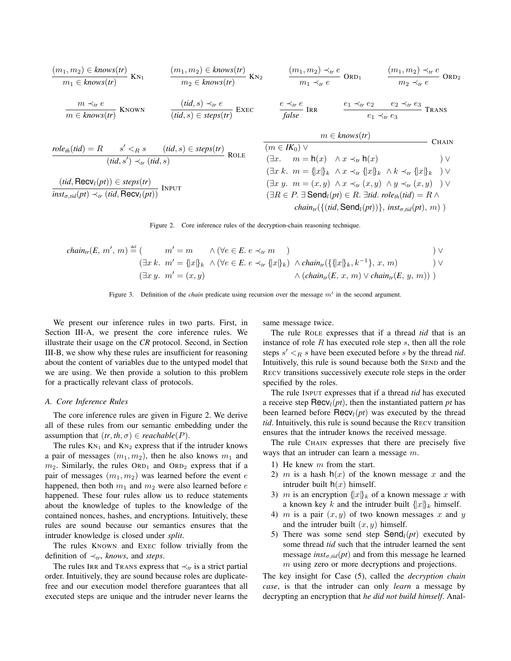$$
\frac{(m_1, m_2) \in \text{knows}(tr)}{m_1 \in \text{knows}(tr)} \text{KN}_1 \qquad \frac{(m_1, m_2) \in \text{knows}(tr)}{m_2 \in \text{knows}(tr)} \text{KN}_2 \qquad \frac{(m_1, m_2) \prec_r e}{m_1 \prec_r e} \text{ORD}_1 \qquad \frac{(m_1, m_2) \prec_r e}{m_2 \prec_r e} \text{ORD}_2
$$
\n
$$
\frac{m \prec_r e}{m \in \text{knows}(tr)} \text{KNown} \qquad \frac{(tid, s) \prec_r e}{(tid, s) \in \text{steps}(tr)} \text{EXEC} \qquad \frac{e \prec_r e}{false} \text{IRR} \qquad \frac{e_1 \prec_r e_2}{e_1 \prec_r e_3} \qquad \text{Transs}
$$
\n
$$
\frac{me \times \text{hows}(tr)}{e_1 \prec_r e_3} \text{TRANS}
$$
\n
$$
\frac{me \times \text{hows}(tr)}{e_1 \prec_r e_3} \qquad \text{Transs}
$$
\n
$$
\frac{me \times \text{hows}(tr)}{e_1 \prec_r e_3} \qquad \text{Transs}
$$
\n
$$
\frac{me \times \text{hows}(tr)}{e_1 \prec_r e_3} \qquad \text{Transs}
$$
\n
$$
\frac{me \times \text{hows}(tr)}{e_1 \prec_r e_3} \qquad \text{Transs}
$$
\n
$$
\frac{me \times \text{hows}(tr)}{e_1 \prec_r e_3} \qquad \text{Transs}
$$
\n
$$
\frac{me \times \text{hows}(tr)}{e_1 \prec_r e_3} \qquad \text{Transs}
$$
\n
$$
\frac{me \times \text{hows}(tr)}{e_1 \prec_r e_3} \qquad \text{Transs}
$$
\n
$$
\frac{me \times \text{Hows}(tr)}{e_1 \prec_r e_3} \qquad \text{Transs}
$$
\n
$$
\frac{me \times \text{Hows}(tr)}{e_1 \prec_r e_3} \qquad \text{Transs}
$$
\n
$$
\frac{me \times \text{Hows}(tr)}{e_1 \prec_r e_3} \qquad \text{Transs}
$$
\n
$$
\frac{me \times \text{Hows}(tr)}{e_1 \
$$

Figure 2. Core inference rules of the decryption-chain reasoning technique.

$$
chain_{tr}(E, m', m) \stackrel{\text{def}}{=} \begin{pmatrix} m' = m & \wedge (\forall e \in E. e \prec_{tr} m) & & & \vee \\ (\exists x \ k. \ m' = \{\Vert x \Vert_k \ \wedge (\forall e \in E. e \prec_{tr} \{\Vert x \Vert_k) \ \wedge chain_{tr}(\{\Vert x \Vert_k, k^{-1}\}, x, m) & & \vee \\ (\exists x \ y. \ m' = (x, y) & & \wedge (chain_{tr}(E, x, m) \lor chain_{tr}(E, y, m))) \end{pmatrix}
$$

Figure 3. Definition of the *chain* predicate using recursion over the message  $m'$  in the second argument.

We present our inference rules in two parts. First, in Section III-A, we present the core inference rules. We illustrate their usage on the *CR* protocol. Second, in Section III-B, we show why these rules are insufficient for reasoning about the content of variables due to the untyped model that we are using. We then provide a solution to this problem for a practically relevant class of protocols.

#### *A. Core Inference Rules*

The core inference rules are given in Figure 2. We derive all of these rules from our semantic embedding under the assumption that  $(tr, th, \sigma) \in reachable(P)$ .

The rules  $KN_1$  and  $KN_2$  express that if the intruder knows a pair of messages  $(m_1, m_2)$ , then he also knows  $m_1$  and  $m_2$ . Similarly, the rules ORD<sub>1</sub> and ORD<sub>2</sub> express that if a pair of messages  $(m_1, m_2)$  was learned before the event e happened, then both  $m_1$  and  $m_2$  were also learned before  $e$ happened. These four rules allow us to reduce statements about the knowledge of tuples to the knowledge of the contained nonces, hashes, and encryptions. Intuitively, these rules are sound because our semantics ensures that the intruder knowledge is closed under *split*.

The rules KNOWN and EXEC follow trivially from the definition of ≺*tr*, *knows*, and *steps*.

The rules IRR and TRANS express that  $\prec_{tr}$  is a strict partial order. Intuitively, they are sound because roles are duplicatefree and our execution model therefore guarantees that all executed steps are unique and the intruder never learns the same message twice.

The rule ROLE expresses that if a thread *tid* that is an instance of role  $R$  has executed role step  $s$ , then all the role steps  $s' <sub>R</sub> s$  have been executed before s by the thread *tid*. Intuitively, this rule is sound because both the SEND and the RECV transitions successively execute role steps in the order specified by the roles.

The rule INPUT expresses that if a thread *tid* has executed a receive step  $\text{Recv}_l(pt)$ , then the instantiated pattern *pt* has been learned before  $\text{Recv}_l(pt)$  was executed by the thread *tid*. Intuitively, this rule is sound because the RECV transition ensures that the intruder knows the received message.

The rule CHAIN expresses that there are precisely five ways that an intruder can learn a message m.

- 1) He knew m from the start.
- 2) m is a hash  $h(x)$  of the known message x and the intruder built  $h(x)$  himself.
- 3) m is an encryption  $\{x\}_k$  of a known message x with a known key k and the intruder built  $\{x\}_k$  himself.
- 4) m is a pair  $(x, y)$  of two known messages x and y and the intruder built  $(x, y)$  himself.
- 5) There was some send step  $\text{Send}_l(pt)$  executed by some thread *tid* such that the intruder learned the sent message  $inst_{\sigma,tid}(pt)$  and from this message he learned m using zero or more decryptions and projections.

The key insight for Case (5), called the *decryption chain case*, is that the intruder can only *learn* a message by decrypting an encryption that *he did not build himself*. Anal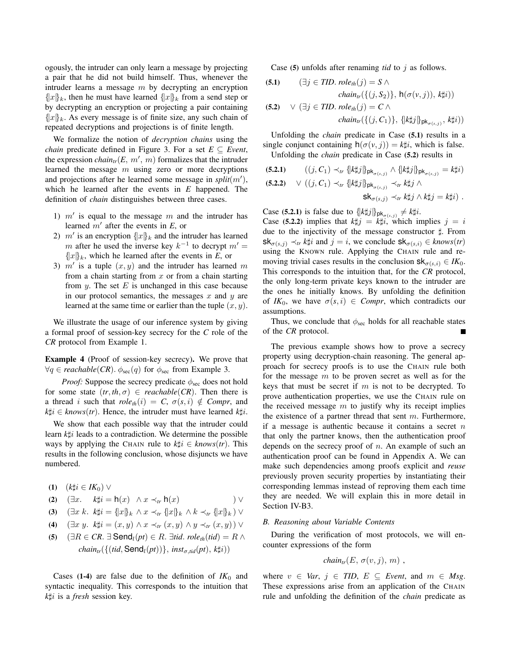ogously, the intruder can only learn a message by projecting a pair that he did not build himself. Thus, whenever the intruder learns a message  $m$  by decrypting an encryption  ${x|k}$ , then he must have learned  ${x|k}$  from a send step or by decrypting an encryption or projecting a pair containing  ${x_k$ . As every message is of finite size, any such chain of repeated decryptions and projections is of finite length.

We formalize the notion of *decryption chains* using the *chain* predicate defined in Figure 3. For a set  $E \subseteq$  *Event*, the expression *chain*<sub>tr</sub> $(E, m', m)$  formalizes that the intruder learned the message  $m$  using zero or more decryptions and projections after he learned some message in  $split(m'),$ which he learned after the events in *E* happened. The definition of *chain* distinguishes between three cases.

- 1)  $m'$  is equal to the message m and the intruder has learned  $m'$  after the events in  $E$ , or
- 2)  $m'$  is an encryption  $\{x\}_k$  and the intruder has learned m after he used the inverse key  $k^{-1}$  to decrypt  $m' =$  $\{ |x| \}$ <sub>k</sub>, which he learned after the events in *E*, or
- 3)  $m'$  is a tuple  $(x, y)$  and the intruder has learned m from a chain starting from  $x$  or from a chain starting from y. The set  $E$  is unchanged in this case because in our protocol semantics, the messages  $x$  and  $y$  are learned at the same time or earlier than the tuple  $(x, y)$ .

We illustrate the usage of our inference system by giving a formal proof of session-key secrecy for the *C* role of the *CR* protocol from Example 1.

Example 4 (Proof of session-key secrecy). We prove that  $\forall q \in reachable(CR)$ .  $\phi_{\text{sec}}(q)$  for  $\phi_{\text{sec}}$  from Example 3.

*Proof:* Suppose the secrecy predicate  $\phi_{\text{sec}}$  does not hold for some state  $(tr, th, \sigma) \in reachable(CR)$ . Then there is a thread i such that  $role_{th}(i) = C$ ,  $\sigma(s, i) \notin Compr$ , and  $k \sharp i \in \text{knows}(tr)$ . Hence, the intruder must have learned  $k \sharp i$ .

We show that each possible way that the intruder could learn *k* $\sharp i$  leads to a contradiction. We determine the possible ways by applying the CHAIN rule to  $k \sharp i \in \text{knows}(tr)$ . This results in the following conclusion, whose disjuncts we have numbered.

(1)  $(k\sharp i \in IK_0)$  ∨

$$
(2) \quad (\exists x. \quad k \sharp i = h(x) \land x \prec_{tr} h(x) \qquad ) \lor
$$

$$
(3) \quad (\exists x \ k. \ k \sharp i = \{ |x| \} _k \wedge x \prec_{tr} \{ |x| \} _k \wedge k \prec_{tr} \{ |x| \} _k ) \vee
$$

(4)  $(\exists x \ y. \ k \sharp i = (x, y) \land x \prec_{tr} (x, y) \land y \prec_{tr} (x, y)) \lor$ 

(5)  $(\exists R \in CR \cdot \exists \text{Send}_l(pt) \in R \cdot \exists tid. \text{ role}_{th}(tid) = R \wedge$  $chain_{tr}(\{(tid, \text{Send}_l(pt))\}, inst_{\sigma, tid}(pt), k\sharp i))$ 

Cases (1-4) are false due to the definition of  $IK_0$  and syntactic inequality. This corresponds to the intuition that *k*]i is a *fresh* session key.

Case (5) unfolds after renaming *tid* to j as follows.

(5.1) 
$$
(\exists j \in TID. \text{ role}_{th}(j) = S \land
$$
  
\n
$$
chain_{tr}(\{(j, S_2)\}, \mathsf{h}(\sigma(v, j)), k \sharp i))
$$
  
\n(5.2) 
$$
\lor (\exists j \in TID. \text{role}_{th}(j) = C \land
$$
  
\n
$$
chain_{tr}(\{(j, C_1)\}, \{k \sharp j\}_{\mathsf{pk}_{\sigma(s, j)}, k \sharp i))
$$

Unfolding the *chain* predicate in Case (5.1) results in a single conjunct containing  $h(\sigma(v, j)) = k\sharp i$ , which is false.

Unfolding the *chain* predicate in Case (5.2) results in

(5.2.1) 
$$
((j, C_1) \prec_{tr} \{k\sharp j\}_{\mathsf{pk}_{\sigma(s,j)}} \land \{k\sharp j\}_{\mathsf{pk}_{\sigma(s,j)}} = k\sharp i)
$$
  
(5.2.2) 
$$
\lor ((j, C_1) \prec_{tr} \{k\sharp j\}_{\mathsf{pk}_{\sigma(s,j)}} \prec_{tr} k\sharp j \land \mathsf{sk}_{\sigma(s,j)} \prec_{tr} k\sharp j \land k\sharp j = k\sharp i).
$$

Case (5.2.1) is false due to 
$$
\{k\sharp j\}_{\mathsf{pk}_{\sigma(s,j)}} \neq k\sharp i
$$
.

Case (5.2.2) implies that  $k \sharp j = k \sharp i$ , which implies  $j = i$ due to the injectivity of the message constructor  $\sharp$ . From  $\mathsf{sk}_{\sigma(s,i)} \prec_{tr} k\sharp i$  and  $j = i$ , we conclude  $\mathsf{sk}_{\sigma(s,i)} \in \mathit{knows}(tr)$ using the KNOWN rule. Applying the CHAIN rule and removing trivial cases results in the conclusion  $\mathsf{sk}_{\sigma(s,i)} \in \mathit{IK}_0$ . This corresponds to the intuition that, for the *CR* protocol, the only long-term private keys known to the intruder are the ones he initially knows. By unfolding the definition of  $IK_0$ , we have  $\sigma(s, i) \in \text{Comp}_r$ , which contradicts our assumptions.

Thus, we conclude that  $\phi_{\text{sec}}$  holds for all reachable states of the *CR* protocol.

The previous example shows how to prove a secrecy property using decryption-chain reasoning. The general approach for secrecy proofs is to use the CHAIN rule both for the message m to be proven secret as well as for the keys that must be secret if  $m$  is not to be decrypted. To prove authentication properties, we use the CHAIN rule on the received message  $m$  to justify why its receipt implies the existence of a partner thread that sent  $m$ . Furthermore, if a message is authentic because it contains a secret  $n$ that only the partner knows, then the authentication proof depends on the secrecy proof of  $n$ . An example of such an authentication proof can be found in Appendix A. We can make such dependencies among proofs explicit and *reuse* previously proven security properties by instantiating their corresponding lemmas instead of reproving them each time they are needed. We will explain this in more detail in Section IV-B3.

#### *B. Reasoning about Variable Contents*

During the verification of most protocols, we will encounter expressions of the form

$$
chain_{tr}(E, \sigma(v, j), m)
$$
,

where  $v \in Var$ ,  $j \in TID$ ,  $E \subseteq Event$ , and  $m \in Msg$ . These expressions arise from an application of the CHAIN rule and unfolding the definition of the *chain* predicate as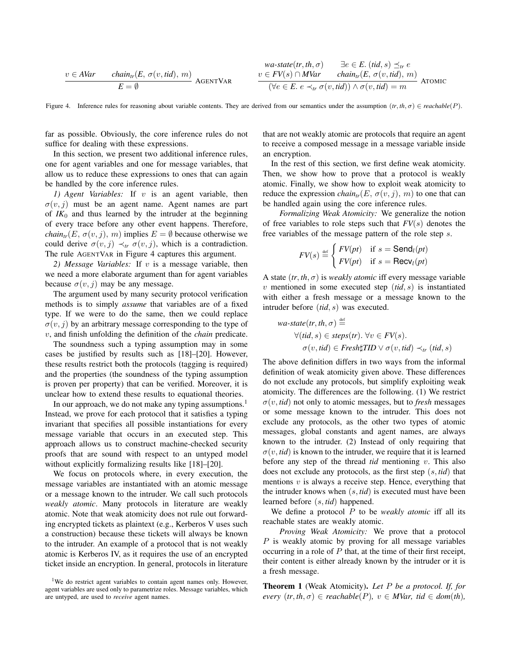$$
\begin{array}{ll}\n w \in AVar & chain_{tr}(E, \sigma(v, tid), m) \\
\hline\n E = \emptyset & \n \end{array}\n \quad\n \begin{array}{ll}\n & wa-state(tr, th, \sigma) \\
\hline\n v \in FV(s) \cap MVar & chain_{tr}(E, \sigma(v, tid), m) \\
\hline\n \left( \forall e \in E. \ e \prec_{tr} \sigma(v, tid) \right) \land \sigma(v, tid) = m\n \end{array}\n \quad\n \begin{array}{ll}\n \text{A} \text{GENT} \end{array}\n \quad \text{A} \text{A} \text{A} \text{A} \text{B} \text{A} \text{B} \text{A} \text{C} \text{A} \text{A} \text{C} \text{A} \text{D} \text{A} \text{D} \text{A} \text{D} \text{A} \text{D} \text{A} \text{D} \text{A} \text{D} \text{A} \text{D} \text{A} \text{D} \text{A} \text{D} \text{A} \text{D} \text{A} \text{D} \text{A} \text{D} \text{A} \text{D} \text{A} \text{D} \text{A} \text{D} \text{A} \text{D} \text{A} \text{D} \text{A} \text{D} \text{A} \text{D} \text{A} \text{D} \text{A} \text{D} \text{A} \text{D} \text{A} \text{D} \text{A} \text{D} \text{A} \text{D} \text{A} \text{D} \text{A} \text{D} \text{A} \text{D} \text{A} \text{D} \text{A} \text{D} \text{A} \text{D} \text{A} \text{D} \text{A} \text{D} \text{A} \text{D} \text{A} \text{D} \text{A} \text{D} \text{A} \text{D} \text{A} \text{D} \text{A} \text{D} \text{A} \text{D} \text{A} \text{D} \text{A} \text{D} \text{A} \text{D} \text{A} \text{D} \text{A} \text{D} \text{A} \text{D} \text{A} \text{D} \text{A} \text{D} \text{A} \text{D} \text{A} \text{D} \text{A} \text{D} \text{A} \text{D
$$

Figure 4. Inference rules for reasoning about variable contents. They are derived from our semantics under the assumption  $(tr, th, \sigma) \in reachable(P)$ .

far as possible. Obviously, the core inference rules do not suffice for dealing with these expressions.

In this section, we present two additional inference rules, one for agent variables and one for message variables, that allow us to reduce these expressions to ones that can again be handled by the core inference rules.

*1) Agent Variables:* If v is an agent variable, then  $\sigma(v, j)$  must be an agent name. Agent names are part of  $IK_0$  and thus learned by the intruder at the beginning of every trace before any other event happens. Therefore, *chain<sub>tr</sub>*(*E*,  $\sigma(v, j)$ , *m*) implies  $E = \emptyset$  because otherwise we could derive  $\sigma(v, j) \prec_{tr} \sigma(v, j)$ , which is a contradiction. The rule AGENTVAR in Figure 4 captures this argument.

*2) Message Variables:* If v is a message variable, then we need a more elaborate argument than for agent variables because  $\sigma(v, j)$  may be any message.

The argument used by many security protocol verification methods is to simply *assume* that variables are of a fixed type. If we were to do the same, then we could replace  $\sigma(v, j)$  by an arbitrary message corresponding to the type of v, and finish unfolding the definition of the *chain* predicate.

The soundness such a typing assumption may in some cases be justified by results such as [18]–[20]. However, these results restrict both the protocols (tagging is required) and the properties (the soundness of the typing assumption is proven per property) that can be verified. Moreover, it is unclear how to extend these results to equational theories.

In our approach, we do not make any typing assumptions.<sup>1</sup> Instead, we prove for each protocol that it satisfies a typing invariant that specifies all possible instantiations for every message variable that occurs in an executed step. This approach allows us to construct machine-checked security proofs that are sound with respect to an untyped model without explicitly formalizing results like [18]–[20].

We focus on protocols where, in every execution, the message variables are instantiated with an atomic message or a message known to the intruder. We call such protocols *weakly atomic*. Many protocols in literature are weakly atomic. Note that weak atomicity does not rule out forwarding encrypted tickets as plaintext (e.g., Kerberos V uses such a construction) because these tickets will always be known to the intruder. An example of a protocol that is not weakly atomic is Kerberos IV, as it requires the use of an encrypted ticket inside an encryption. In general, protocols in literature that are not weakly atomic are protocols that require an agent to receive a composed message in a message variable inside an encryption.

In the rest of this section, we first define weak atomicity. Then, we show how to prove that a protocol is weakly atomic. Finally, we show how to exploit weak atomicity to reduce the expression *chain<sub>tr</sub>*(*E*,  $\sigma(v, j)$ , *m*) to one that can be handled again using the core inference rules.

*Formalizing Weak Atomicity:* We generalize the notion of free variables to role steps such that *FV*(s) denotes the free variables of the message pattern of the role step s.

$$
FV(s) \stackrel{\text{def}}{=} \begin{cases} FV(pt) & \text{if } s = \textsf{Send}_l(pt) \\ FV(pt) & \text{if } s = \textsf{Recv}_l(pt) \end{cases}
$$

A state  $(tr, th, \sigma)$  is *weakly atomic* iff every message variable  $v$  mentioned in some executed step  $(id, s)$  is instantiated with either a fresh message or a message known to the intruder before (*tid*, s) was executed.

$$
\begin{aligned} \textit{wa-state}(\textit{tr}, \textit{th}, \sigma) & \stackrel{\text{def}}{=} \\ \forall (\textit{tid}, s) \in \textit{steps}(\textit{tr}). \ \forall v \in \textit{FV}(s). \\ \sigma(v, \textit{tid}) & \in \textit{Fresh} \sharp \textit{TID} \lor \sigma(v, \textit{tid}) \prec_{\textit{tr}} (\textit{tid}, s) \end{aligned}
$$

The above definition differs in two ways from the informal definition of weak atomicity given above. These differences do not exclude any protocols, but simplify exploiting weak atomicity. The differences are the following. (1) We restrict  $\sigma(v, tid)$  not only to atomic messages, but to *fresh* messages or some message known to the intruder. This does not exclude any protocols, as the other two types of atomic messages, global constants and agent names, are always known to the intruder. (2) Instead of only requiring that  $\sigma(v, tid)$  is known to the intruder, we require that it is learned before any step of the thread *tid* mentioning v. This also does not exclude any protocols, as the first step (s, *tid*) that mentions  $v$  is always a receive step. Hence, everything that the intruder knows when (s, *tid*) is executed must have been learned before (s, *tid*) happened.

We define a protocol P to be *weakly atomic* iff all its reachable states are weakly atomic.

*Proving Weak Atomicity:* We prove that a protocol  $P$  is weakly atomic by proving for all message variables occurring in a role of  $P$  that, at the time of their first receipt, their content is either already known by the intruder or it is a fresh message.

Theorem 1 (Weak Atomicity). *Let* P *be a protocol. If, for*  $every$   $(tr, th, \sigma) \in reachable(P), v \in MVar, tid \in dom(th),$ 

<sup>&</sup>lt;sup>1</sup>We do restrict agent variables to contain agent names only. However, agent variables are used only to parametrize roles. Message variables, which are untyped, are used to *receive* agent names.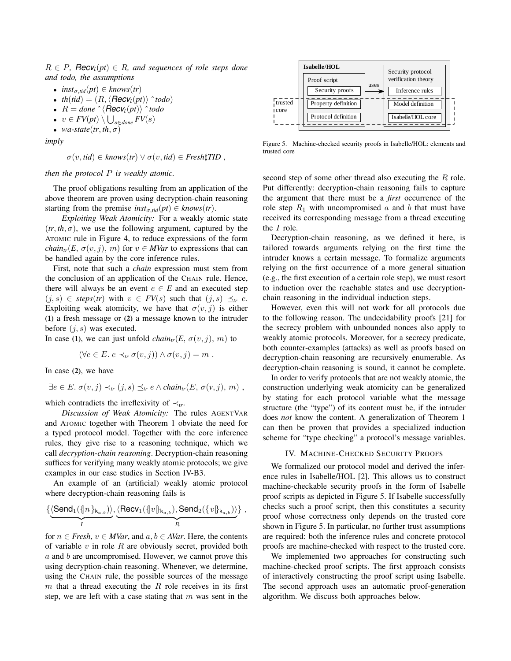$R \in P$ , **Recv**<sub>l</sub>( $pt$ )  $\in$  R, and sequences of role steps done *and todo, the assumptions*

- $inst_{\sigma, tid}(pt) \in knows(tr)$
- *th*(*tid*) =  $(R, \langle \text{Recv}_l(pt) \rangle \hat{\ }^t{todo}$
- $R =$  *done*  $\hat{\ }$   $\langle$  *Recv*<sub>l</sub>(*pt*) $\rangle$   $\hat{\ }$  *todo*
- $\bullet \ \ v \in FV(pt) \setminus \bigcup_{s \in done} FV(s)$
- *wa-state*(*tr*, *th*,  $\sigma$ )

*imply*

$$
\sigma(v, tid) \in knows(tr) \lor \sigma(v, tid) \in Fresh\sharp TID,
$$

*then the protocol* P *is weakly atomic.*

The proof obligations resulting from an application of the above theorem are proven using decryption-chain reasoning starting from the premise  $inst_{\sigma, tid}(pt) \in knows(tr)$ .

*Exploiting Weak Atomicity:* For a weakly atomic state  $(tr, th, \sigma)$ , we use the following argument, captured by the ATOMIC rule in Figure 4, to reduce expressions of the form *chain*<sub>tr</sub>(*E*,  $\sigma(v, j)$ , *m*) for  $v \in MVar$  to expressions that can be handled again by the core inference rules.

First, note that such a *chain* expression must stem from the conclusion of an application of the CHAIN rule. Hence, there will always be an event  $e \in E$  and an executed step  $(j, s) \in \text{steps}(tr)$  with  $v \in \text{FV}(s)$  such that  $(j, s) \preceq_{tr} e$ . Exploiting weak atomicity, we have that  $\sigma(v, j)$  is either (1) a fresh message or (2) a message known to the intruder before  $(i, s)$  was executed. **• Alter**  $\frac{1}{R}$  and  $\frac{1}{R}$  alternative  $\frac{1}{R}$  and  $\frac{1}{R}$  ( $\frac{1}{R}$  ( $\frac{1}{R}$  ( $\frac{1}{R}$  ( $\frac{1}{R}$  ( $\frac{1}{R}$  ( $\frac{1}{R}$  ( $\frac{1}{R}$  ( $\frac{1}{R}$  ( $\frac{1}{R}$  ( $\frac{1}{R}$  ( $\frac{1}{R}$  ( $\frac{1}{R}$  ( $\frac{1}{R}$  ( $\frac{$ 

In case (1), we can just unfold  $chain<sub>tr</sub>(E, \sigma(v, j), m)$  to

$$
(\forall e \in E. \ e \prec_{tr} \sigma(v,j)) \land \sigma(v,j) = m.
$$

In case (2), we have

$$
\exists e \in E. \ \sigma(v, j) \prec_{tr} (j, s) \preceq_{tr} e \land chain_{tr}(E, \sigma(v, j), m) ,
$$

which contradicts the irreflexivity of  $\prec_{tr}$ .

*Discussion of Weak Atomicity:* The rules AGENTVAR and ATOMIC together with Theorem 1 obviate the need for a typed protocol model. Together with the core inference rules, they give rise to a reasoning technique, which we call *decryption-chain reasoning*. Decryption-chain reasoning suffices for verifying many weakly atomic protocols; we give examples in our case studies in Section IV-B3.

An example of an (artificial) weakly atomic protocol where decryption-chain reasoning fails is

$$
\{\underbrace{\langle \textsf{Send}_1(\{|n|\}_{\mathsf{k}_{a,b}})\rangle}_{I}, \underbrace{\langle \textsf{Recv}_1(\{|v|\}_{\mathsf{k}_{a,b}}), \textsf{Send}_2(\{|v|\}_{\mathsf{k}_{a,b}})\rangle}_{R}\}\;,
$$

for  $n \in$  *Fresh*,  $v \in MVar$ , and  $a, b \in AVar$ . Here, the contents of variable  $v$  in role  $R$  are obviously secret, provided both a and b are uncompromised. However, we cannot prove this using decryption-chain reasoning. Whenever, we determine, using the CHAIN rule, the possible sources of the message  $m$  that a thread executing the  $R$  role receives in its first



Figure 5. Machine-checked security proofs in Isabelle/HOL: elements and trusted core

second step of some other thread also executing the R role. Put differently: decryption-chain reasoning fails to capture the argument that there must be a *first* occurrence of the role step  $R_1$  with uncompromised a and b that must have received its corresponding message from a thread executing the I role.

Decryption-chain reasoning, as we defined it here, is tailored towards arguments relying on the first time the intruder knows a certain message. To formalize arguments relying on the first occurrence of a more general situation (e.g., the first execution of a certain role step), we must resort to induction over the reachable states and use decryptionchain reasoning in the individual induction steps.

However, even this will not work for all protocols due to the following reason. The undecidability proofs [21] for the secrecy problem with unbounded nonces also apply to weakly atomic protocols. Moreover, for a secrecy predicate, both counter-examples (attacks) as well as proofs based on decryption-chain reasoning are recursively enumerable. As decryption-chain reasoning is sound, it cannot be complete.

In order to verify protocols that are not weakly atomic, the construction underlying weak atomicity can be generalized by stating for each protocol variable what the message structure (the "type") of its content must be, if the intruder does *not* know the content. A generalization of Theorem 1 can then be proven that provides a specialized induction scheme for "type checking" a protocol's message variables.

#### IV. MACHINE-CHECKED SECURITY PROOFS

We formalized our protocol model and derived the inference rules in Isabelle/HOL [2]. This allows us to construct machine-checkable security proofs in the form of Isabelle proof scripts as depicted in Figure 5. If Isabelle successfully checks such a proof script, then this constitutes a security proof whose correctness only depends on the trusted core shown in Figure 5. In particular, no further trust assumptions are required: both the inference rules and concrete protocol proofs are machine-checked with respect to the trusted core.

We implemented two approaches for constructing such machine-checked proof scripts. The first approach consists of interactively constructing the proof script using Isabelle. The second approach uses an automatic proof-generation algorithm. We discuss both approaches below.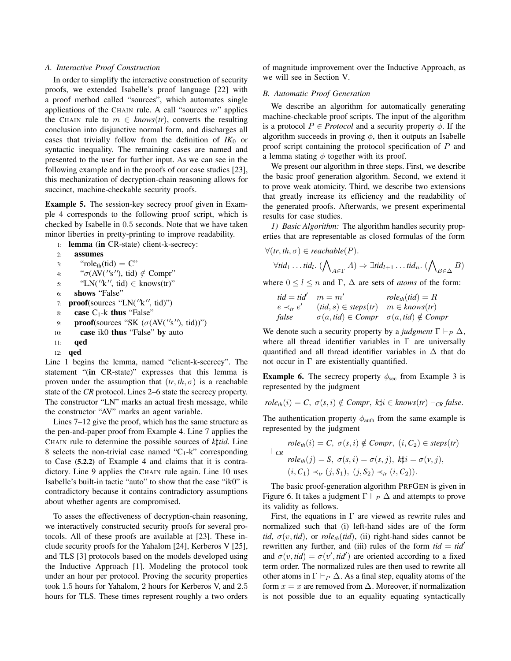# *A. Interactive Proof Construction*

In order to simplify the interactive construction of security proofs, we extended Isabelle's proof language [22] with a proof method called "sources", which automates single applications of the CHAIN rule. A call "sources  $m$ " applies the CHAIN rule to  $m \in$  *knows*(*tr*), converts the resulting conclusion into disjunctive normal form, and discharges all cases that trivially follow from the definition of  $IK_0$  or syntactic inequality. The remaining cases are named and presented to the user for further input. As we can see in the following example and in the proofs of our case studies [23], this mechanization of decryption-chain reasoning allows for succinct, machine-checkable security proofs.

Example 5. The session-key secrecy proof given in Example 4 corresponds to the following proof script, which is checked by Isabelle in 0.5 seconds. Note that we have taken minor liberties in pretty-printing to improve readability.

1: lemma (in CR-state) client-k-secrecy:

```
2: assumes
```

| 3: | "role <sub>th</sub> (tid) = $C$ "           |
|----|---------------------------------------------|
| 4: | " $\sigma$ (AV(''s''), tid) $\notin$ Compr" |
| 5: | "LN( $\prime$ 'k'', tid) $\in$ knows(tr)"   |

- 6: shows "False"
- 7: **proof**(sources "LN( $''$ k", tid)")
- 8: **case**  $C_1$ -k **thus** "False"
- 9: **proof**(sources "SK  $(\sigma(AV('s''), tid))")$
- 10: case ik0 thus "False" by auto
- 11: qed
- 12: qed

Line 1 begins the lemma, named "client-k-secrecy". The statement "(in CR-state)" expresses that this lemma is proven under the assumption that  $(tr, th, \sigma)$  is a reachable state of the *CR* protocol. Lines 2–6 state the secrecy property. The constructor "LN" marks an actual fresh message, while the constructor "AV" marks an agent variable.

Lines 7–12 give the proof, which has the same structure as the pen-and-paper proof from Example 4. Line 7 applies the CHAIN rule to determine the possible sources of *k*]*tid*. Line 8 selects the non-trivial case named " $C_1$ -k" corresponding to Case (5.2.2) of Example 4 and claims that it is contradictory. Line 9 applies the CHAIN rule again. Line 10 uses Isabelle's built-in tactic "auto" to show that the case "ik0" is contradictory because it contains contradictory assumptions about whether agents are compromised.

To asses the effectiveness of decryption-chain reasoning, we interactively constructed security proofs for several protocols. All of these proofs are available at [23]. These include security proofs for the Yahalom [24], Kerberos V [25], and TLS [3] protocols based on the models developed using the Inductive Approach [1]. Modeling the protocol took under an hour per protocol. Proving the security properties took 1.5 hours for Yahalom, 2 hours for Kerberos V, and 2.5 hours for TLS. These times represent roughly a two orders of magnitude improvement over the Inductive Approach, as we will see in Section V.

#### *B. Automatic Proof Generation*

We describe an algorithm for automatically generating machine-checkable proof scripts. The input of the algorithm is a protocol  $P \in \text{Protocol}$  and a security property  $\phi$ . If the algorithm succeeds in proving  $\phi$ , then it outputs an Isabelle proof script containing the protocol specification of P and a lemma stating  $\phi$  together with its proof.

We present our algorithm in three steps. First, we describe the basic proof generation algorithm. Second, we extend it to prove weak atomicity. Third, we describe two extensions that greatly increase its efficiency and the readability of the generated proofs. Afterwards, we present experimental results for case studies.

*1) Basic Algorithm:* The algorithm handles security properties that are representable as closed formulas of the form

$$
\forall (tr, th, \sigma) \in reachable(P).
$$
  
\n
$$
\forall tid_1 \dots tid_l. \ (\bigwedge_{A \in \Gamma} A) \Rightarrow \exists tid_{l+1} \dots tid_n. \ (\bigwedge_{B \in \Delta} B)
$$

where  $0 \leq l \leq n$  and  $\Gamma$ ,  $\Delta$  are sets of *atoms* of the form:

$$
tid = tid' \quad m = m' \quad role_{th}(tid) = R
$$
\n
$$
e \prec_{tr} e' \quad (tid, s) \in steps(tr) \quad m \in knows(tr)
$$
\n
$$
false \quad \sigma(a, tid) \in Compr \quad \sigma(a, tid) \notin Compr
$$

We denote such a security property by a *judgment*  $\Gamma \vdash_P \Delta$ , where all thread identifier variables in  $\Gamma$  are universally quantified and all thread identifier variables in  $\Delta$  that do not occur in Γ are existentially quantified.

**Example 6.** The secrecy property  $\phi_{\text{sec}}$  from Example 3 is represented by the judgment

$$
role_{th}(i) = C, \ \sigma(s, i) \notin Compr, \ k\sharp i \in knows(tr) \vdash_{CR} false.
$$

The authentication property  $\phi_{\text{auth}}$  from the same example is represented by the judgment

$$
role_{th}(i) = C, \ \sigma(s, i) \notin Compr, \ (i, C_2) \in steps(tr)
$$

$$
role_{th}(j) = S, \ \sigma(s, i) = \sigma(s, j), \ k \sharp i = \sigma(v, j),
$$

$$
(i, C_1) \prec_{tr} (j, S_1), \ (j, S_2) \prec_{tr} (i, C_2)).
$$

The basic proof-generation algorithm PRFGEN is given in Figure 6. It takes a judgment  $\Gamma \vdash_P \Delta$  and attempts to prove its validity as follows.

First, the equations in  $\Gamma$  are viewed as rewrite rules and normalized such that (i) left-hand sides are of the form *tid*,  $\sigma(v, tid)$ , or *role<sub>th</sub>*(*tid*), (ii) right-hand sides cannot be rewritten any further, and (iii) rules of the form  $tid = tid'$ and  $\sigma(v, tid) = \sigma(v', tid')$  are oriented according to a fixed term order. The normalized rules are then used to rewrite all other atoms in  $\Gamma \vdash_P \Delta$ . As a final step, equality atoms of the form  $x = x$  are removed from  $\Delta$ . Moreover, if normalization is not possible due to an equality equating syntactically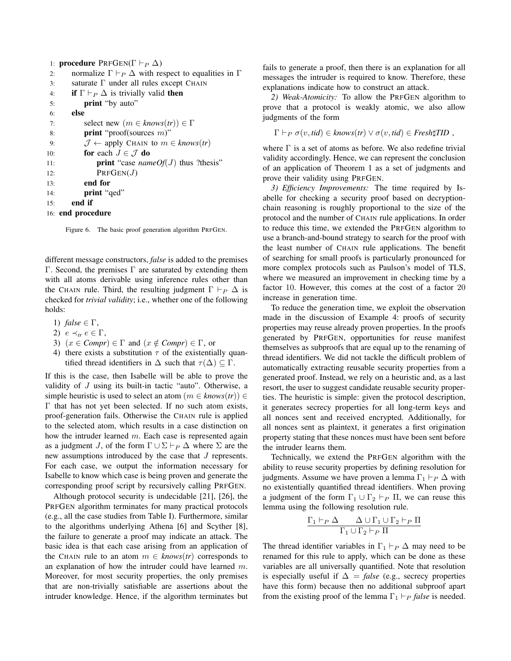|     | 1: <b>procedure</b> PRFGEN( $\Gamma \vdash_{P} \Delta$ )                  |
|-----|---------------------------------------------------------------------------|
| 2:  | normalize $\Gamma \vdash_P \Delta$ with respect to equalities in $\Gamma$ |
| 3:  | saturate $\Gamma$ under all rules except CHAIN                            |
| 4:  | <b>if</b> $\Gamma \vdash_P \Delta$ is trivially valid <b>then</b>         |
| 5:  | <b>print</b> "by auto"                                                    |
| 6:  | else                                                                      |
| 7:  | select new $(m \in \text{knows}(tr)) \in \Gamma$                          |
| 8:  | <b>print</b> "proof(sources $m$ )"                                        |
| 9:  | $\mathcal{J} \leftarrow$ apply CHAIN to $m \in$ knows(tr)                 |
| 10: | for each $J \in \mathcal{J}$ do                                           |
| 11: | <b>print</b> "case <i>nameOf(J)</i> thus ?thesis"                         |
| 12: | PrFGEN(J)                                                                 |
| 13: | end for                                                                   |
| 14: | print "ged"                                                               |
| 15: | end if                                                                    |
|     | 16: end procedure                                                         |

Figure 6. The basic proof generation algorithm PRFGEN.

different message constructors, *false* is added to the premises Γ. Second, the premises Γ are saturated by extending them with all atoms derivable using inference rules other than the CHAIN rule. Third, the resulting judgment  $\Gamma \vdash_{P} \Delta$  is checked for *trivial validity*; i.e., whether one of the following holds:

- 1) *false* ∈ Γ,
- 2)  $e \prec_{tr} e \in \Gamma$ ,
- 3)  $(x \in Compr) \in \Gamma$  and  $(x \notin Compr) \in \Gamma$ , or
- 4) there exists a substitution  $\tau$  of the existentially quantified thread identifiers in  $\Delta$  such that  $\tau(\Delta) \subseteq \Gamma$ .

If this is the case, then Isabelle will be able to prove the validity of J using its built-in tactic "auto". Otherwise, a simple heuristic is used to select an atom  $(m \in \text{knows}(tr)) \in$ Γ that has not yet been selected. If no such atom exists, proof-generation fails. Otherwise the CHAIN rule is applied to the selected atom, which results in a case distinction on how the intruder learned m. Each case is represented again as a judgment J, of the form  $\Gamma \cup \Sigma \vdash_P \Delta$  where  $\Sigma$  are the new assumptions introduced by the case that J represents. For each case, we output the information necessary for Isabelle to know which case is being proven and generate the corresponding proof script by recursively calling PRFGEN.

Although protocol security is undecidable [21], [26], the PRFGEN algorithm terminates for many practical protocols (e.g., all the case studies from Table I). Furthermore, similar to the algorithms underlying Athena [6] and Scyther [8], the failure to generate a proof may indicate an attack. The basic idea is that each case arising from an application of the CHAIN rule to an atom  $m \in$  *knows*(*tr*) corresponds to an explanation of how the intruder could have learned m. Moreover, for most security properties, the only premises that are non-trivially satisfiable are assertions about the intruder knowledge. Hence, if the algorithm terminates but fails to generate a proof, then there is an explanation for all messages the intruder is required to know. Therefore, these explanations indicate how to construct an attack.

*2) Weak-Atomicity:* To allow the PRFGEN algorithm to prove that a protocol is weakly atomic, we also allow judgments of the form

 $\Gamma \vdash_P \sigma(v, tid) \in knows(tr) \vee \sigma(v, tid) \in Fresh\sharp TID$ ,

where  $\Gamma$  is a set of atoms as before. We also redefine trivial validity accordingly. Hence, we can represent the conclusion of an application of Theorem 1 as a set of judgments and prove their validity using PRFGEN.

*3) Efficiency Improvements:* The time required by Isabelle for checking a security proof based on decryptionchain reasoning is roughly proportional to the size of the protocol and the number of CHAIN rule applications. In order to reduce this time, we extended the PRFGEN algorithm to use a branch-and-bound strategy to search for the proof with the least number of CHAIN rule applications. The benefit of searching for small proofs is particularly pronounced for more complex protocols such as Paulson's model of TLS, where we measured an improvement in checking time by a factor 10. However, this comes at the cost of a factor 20 increase in generation time.

To reduce the generation time, we exploit the observation made in the discussion of Example 4: proofs of security properties may reuse already proven properties. In the proofs generated by PRFGEN, opportunities for reuse manifest themselves as subproofs that are equal up to the renaming of thread identifiers. We did not tackle the difficult problem of automatically extracting reusable security properties from a generated proof. Instead, we rely on a heuristic and, as a last resort, the user to suggest candidate reusable security properties. The heuristic is simple: given the protocol description, it generates secrecy properties for all long-term keys and all nonces sent and received encrypted. Additionally, for all nonces sent as plaintext, it generates a first origination property stating that these nonces must have been sent before the intruder learns them.

Technically, we extend the PRFGEN algorithm with the ability to reuse security properties by defining resolution for judgments. Assume we have proven a lemma  $\Gamma_1 \vdash_P \Delta$  with no existentially quantified thread identifiers. When proving a judgment of the form  $\Gamma_1 \cup \Gamma_2 \vdash_P \Pi$ , we can reuse this lemma using the following resolution rule.

$$
\frac{\Gamma_1\vdash_P\Delta\qquad \Delta\cup\Gamma_1\cup\Gamma_2\vdash_P\Pi}{\Gamma_1\cup\Gamma_2\vdash_P\Pi}
$$

The thread identifier variables in  $\Gamma_1 \vdash_P \Delta$  may need to be renamed for this rule to apply, which can be done as these variables are all universally quantified. Note that resolution is especially useful if  $\Delta$  = *false* (e.g., secrecy properties have this form) because then no additional subproof apart from the existing proof of the lemma  $\Gamma_1 \vdash_P false$  is needed.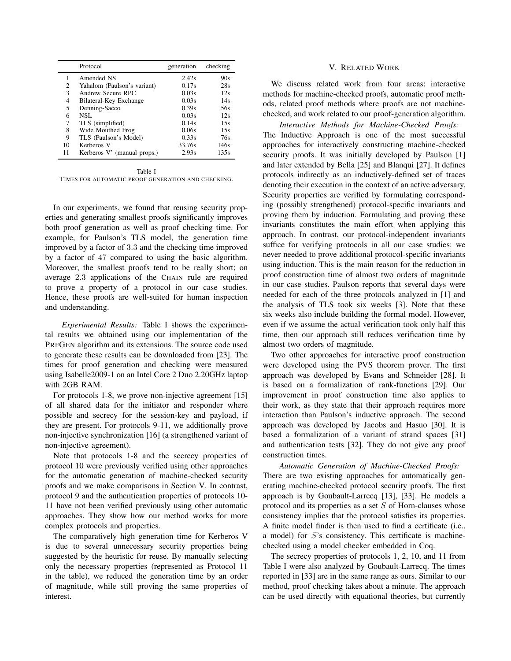|    | Protocol                    | generation | checking |
|----|-----------------------------|------------|----------|
| 1  | Amended NS                  | 2.42s      | 90s      |
| 2  | Yahalom (Paulson's variant) | 0.17s      | 28s      |
| 3  | Andrew Secure RPC           | 0.03s      | 12s      |
| 4  | Bilateral-Key Exchange      | 0.03s      | 14s      |
| 5  | Denning-Sacco               | 0.39s      | 56s      |
| 6  | NSL                         | 0.03s      | 12s      |
| 7  | TLS (simplified)            | 0.14s      | 15s      |
| 8  | Wide Mouthed Frog           | 0.06s      | 15s      |
| 9  | TLS (Paulson's Model)       | 0.33s      | 76s      |
| 10 | Kerberos V                  | 33.76s     | 146s     |
| 11 | Kerberos V' (manual props.) | 2.93s      | 135s     |

Table I

TIMES FOR AUTOMATIC PROOF GENERATION AND CHECKING.

In our experiments, we found that reusing security properties and generating smallest proofs significantly improves both proof generation as well as proof checking time. For example, for Paulson's TLS model, the generation time improved by a factor of 3.3 and the checking time improved by a factor of 47 compared to using the basic algorithm. Moreover, the smallest proofs tend to be really short; on average 2.3 applications of the CHAIN rule are required to prove a property of a protocol in our case studies. Hence, these proofs are well-suited for human inspection and understanding.

*Experimental Results:* Table I shows the experimental results we obtained using our implementation of the PRFGEN algorithm and its extensions. The source code used to generate these results can be downloaded from [23]. The times for proof generation and checking were measured using Isabelle2009-1 on an Intel Core 2 Duo 2.20GHz laptop with 2GB RAM.

For protocols 1-8, we prove non-injective agreement [15] of all shared data for the initiator and responder where possible and secrecy for the session-key and payload, if they are present. For protocols 9-11, we additionally prove non-injective synchronization [16] (a strengthened variant of non-injective agreement).

Note that protocols 1-8 and the secrecy properties of protocol 10 were previously verified using other approaches for the automatic generation of machine-checked security proofs and we make comparisons in Section V. In contrast, protocol 9 and the authentication properties of protocols 10- 11 have not been verified previously using other automatic approaches. They show how our method works for more complex protocols and properties.

The comparatively high generation time for Kerberos V is due to several unnecessary security properties being suggested by the heuristic for reuse. By manually selecting only the necessary properties (represented as Protocol 11 in the table), we reduced the generation time by an order of magnitude, while still proving the same properties of interest.

# V. RELATED WORK

We discuss related work from four areas: interactive methods for machine-checked proofs, automatic proof methods, related proof methods where proofs are not machinechecked, and work related to our proof-generation algorithm.

*Interactive Methods for Machine-Checked Proofs:* The Inductive Approach is one of the most successful approaches for interactively constructing machine-checked security proofs. It was initially developed by Paulson [1] and later extended by Bella [25] and Blanqui [27]. It defines protocols indirectly as an inductively-defined set of traces denoting their execution in the context of an active adversary. Security properties are verified by formulating corresponding (possibly strengthened) protocol-specific invariants and proving them by induction. Formulating and proving these invariants constitutes the main effort when applying this approach. In contrast, our protocol-independent invariants suffice for verifying protocols in all our case studies: we never needed to prove additional protocol-specific invariants using induction. This is the main reason for the reduction in proof construction time of almost two orders of magnitude in our case studies. Paulson reports that several days were needed for each of the three protocols analyzed in [1] and the analysis of TLS took six weeks [3]. Note that these six weeks also include building the formal model. However, even if we assume the actual verification took only half this time, then our approach still reduces verification time by almost two orders of magnitude.

Two other approaches for interactive proof construction were developed using the PVS theorem prover. The first approach was developed by Evans and Schneider [28]. It is based on a formalization of rank-functions [29]. Our improvement in proof construction time also applies to their work, as they state that their approach requires more interaction than Paulson's inductive approach. The second approach was developed by Jacobs and Hasuo [30]. It is based a formalization of a variant of strand spaces [31] and authentication tests [32]. They do not give any proof construction times.

*Automatic Generation of Machine-Checked Proofs:* There are two existing approaches for automatically generating machine-checked protocol security proofs. The first approach is by Goubault-Larrecq [13], [33]. He models a protocol and its properties as a set  $S$  of Horn-clauses whose consistency implies that the protocol satisfies its properties. A finite model finder is then used to find a certificate (i.e., a model) for S's consistency. This certificate is machinechecked using a model checker embedded in Coq.

The secrecy properties of protocols 1, 2, 10, and 11 from Table I were also analyzed by Goubault-Larrecq. The times reported in [33] are in the same range as ours. Similar to our method, proof checking takes about a minute. The approach can be used directly with equational theories, but currently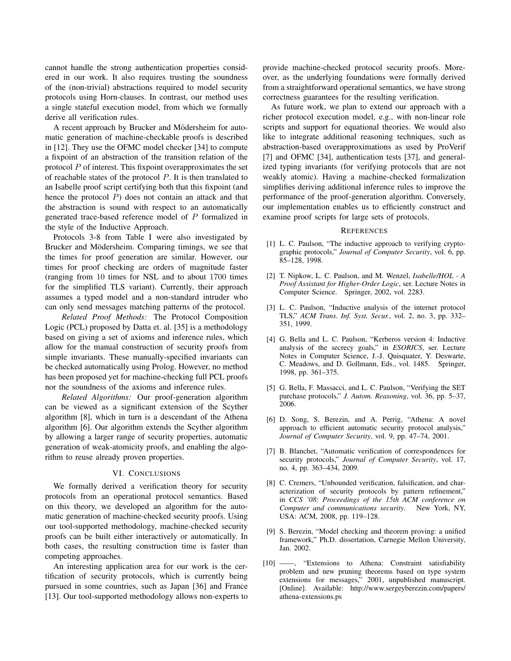cannot handle the strong authentication properties considered in our work. It also requires trusting the soundness of the (non-trivial) abstractions required to model security protocols using Horn-clauses. In contrast, our method uses a single stateful execution model, from which we formally derive all verification rules.

A recent approach by Brucker and Mödersheim for automatic generation of machine-checkable proofs is described in [12]. They use the OFMC model checker [34] to compute a fixpoint of an abstraction of the transition relation of the protocol  $P$  of interest. This fixpoint overapproximates the set of reachable states of the protocol  $P$ . It is then translated to an Isabelle proof script certifying both that this fixpoint (and hence the protocol  $P$ ) does not contain an attack and that the abstraction is sound with respect to an automatically generated trace-based reference model of P formalized in the style of the Inductive Approach.

Protocols 3-8 from Table I were also investigated by Brucker and Mödersheim. Comparing timings, we see that the times for proof generation are similar. However, our times for proof checking are orders of magnitude faster (ranging from 10 times for NSL and to about 1700 times for the simplified TLS variant). Currently, their approach assumes a typed model and a non-standard intruder who can only send messages matching patterns of the protocol.

*Related Proof Methods:* The Protocol Composition Logic (PCL) proposed by Datta et. al. [35] is a methodology based on giving a set of axioms and inference rules, which allow for the manual construction of security proofs from simple invariants. These manually-specified invariants can be checked automatically using Prolog. However, no method has been proposed yet for machine-checking full PCL proofs nor the soundness of the axioms and inference rules.

*Related Algorithms:* Our proof-generation algorithm can be viewed as a significant extension of the Scyther algorithm [8], which in turn is a descendant of the Athena algorithm [6]. Our algorithm extends the Scyther algorithm by allowing a larger range of security properties, automatic generation of weak-atomicity proofs, and enabling the algorithm to reuse already proven properties.

## VI. CONCLUSIONS

We formally derived a verification theory for security protocols from an operational protocol semantics. Based on this theory, we developed an algorithm for the automatic generation of machine-checked security proofs. Using our tool-supported methodology, machine-checked security proofs can be built either interactively or automatically. In both cases, the resulting construction time is faster than competing approaches.

An interesting application area for our work is the certification of security protocols, which is currently being pursued in some countries, such as Japan [36] and France [13]. Our tool-supported methodology allows non-experts to provide machine-checked protocol security proofs. Moreover, as the underlying foundations were formally derived from a straightforward operational semantics, we have strong correctness guarantees for the resulting verification.

As future work, we plan to extend our approach with a richer protocol execution model, e.g., with non-linear role scripts and support for equational theories. We would also like to integrate additional reasoning techniques, such as abstraction-based overapproximations as used by ProVerif [7] and OFMC [34], authentication tests [37], and generalized typing invariants (for verifying protocols that are not weakly atomic). Having a machine-checked formalization simplifies deriving additional inference rules to improve the performance of the proof-generation algorithm. Conversely, our implementation enables us to efficiently construct and examine proof scripts for large sets of protocols.

#### **REFERENCES**

- [1] L. C. Paulson, "The inductive approach to verifying cryptographic protocols," *Journal of Computer Security*, vol. 6, pp. 85–128, 1998.
- [2] T. Nipkow, L. C. Paulson, and M. Wenzel, *Isabelle/HOL A Proof Assistant for Higher-Order Logic*, ser. Lecture Notes in Computer Science. Springer, 2002, vol. 2283.
- [3] L. C. Paulson, "Inductive analysis of the internet protocol TLS," *ACM Trans. Inf. Syst. Secur.*, vol. 2, no. 3, pp. 332– 351, 1999.
- [4] G. Bella and L. C. Paulson, "Kerberos version 4: Inductive analysis of the secrecy goals," in *ESORICS*, ser. Lecture Notes in Computer Science, J.-J. Quisquater, Y. Deswarte, C. Meadows, and D. Gollmann, Eds., vol. 1485. Springer, 1998, pp. 361–375.
- [5] G. Bella, F. Massacci, and L. C. Paulson, "Verifying the SET purchase protocols," *J. Autom. Reasoning*, vol. 36, pp. 5–37, 2006.
- [6] D. Song, S. Berezin, and A. Perrig, "Athena: A novel approach to efficient automatic security protocol analysis," *Journal of Computer Security*, vol. 9, pp. 47–74, 2001.
- [7] B. Blanchet, "Automatic verification of correspondences for security protocols," *Journal of Computer Security*, vol. 17, no. 4, pp. 363–434, 2009.
- [8] C. Cremers, "Unbounded verification, falsification, and characterization of security protocols by pattern refinement," in *CCS '08: Proceedings of the 15th ACM conference on Computer and communications security*. New York, NY, USA: ACM, 2008, pp. 119–128.
- [9] S. Berezin, "Model checking and theorem proving: a unified framework," Ph.D. dissertation, Carnegie Mellon University, Jan. 2002.
- [10] ——, "Extensions to Athena: Constraint satisfiability problem and new pruning theorems based on type system extensions for messages," 2001, unpublished manuscript. [Online]. Available: http://www.sergeyberezin.com/papers/ athena-extensions.ps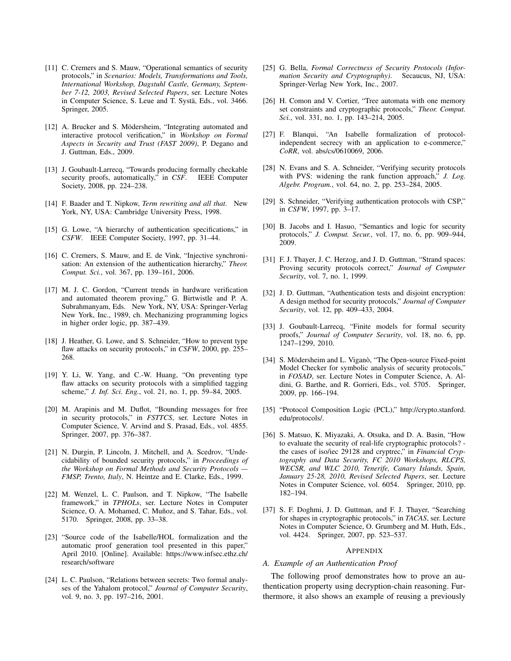- [11] C. Cremers and S. Mauw, "Operational semantics of security protocols," in *Scenarios: Models, Transformations and Tools, International Workshop, Dagstuhl Castle, Germany, September 7-12, 2003, Revised Selected Papers*, ser. Lecture Notes in Computer Science, S. Leue and T. Systä, Eds., vol. 3466. Springer, 2005.
- [12] A. Brucker and S. Mödersheim, "Integrating automated and interactive protocol verification," in *Workshop on Formal Aspects in Security and Trust (FAST 2009)*, P. Degano and J. Guttman, Eds., 2009.
- [13] J. Goubault-Larrecq, "Towards producing formally checkable security proofs, automatically," in *CSF*. IEEE Computer Society, 2008, pp. 224–238.
- [14] F. Baader and T. Nipkow, *Term rewriting and all that*. New York, NY, USA: Cambridge University Press, 1998.
- [15] G. Lowe, "A hierarchy of authentication specifications," in *CSFW*. IEEE Computer Society, 1997, pp. 31–44.
- [16] C. Cremers, S. Mauw, and E. de Vink, "Injective synchronisation: An extension of the authentication hierarchy," *Theor. Comput. Sci.*, vol. 367, pp. 139–161, 2006.
- [17] M. J. C. Gordon, "Current trends in hardware verification and automated theorem proving," G. Birtwistle and P. A. Subrahmanyam, Eds. New York, NY, USA: Springer-Verlag New York, Inc., 1989, ch. Mechanizing programming logics in higher order logic, pp. 387–439.
- [18] J. Heather, G. Lowe, and S. Schneider, "How to prevent type flaw attacks on security protocols," in *CSFW*, 2000, pp. 255– 268.
- [19] Y. Li, W. Yang, and C.-W. Huang, "On preventing type flaw attacks on security protocols with a simplified tagging scheme," *J. Inf. Sci. Eng.*, vol. 21, no. 1, pp. 59–84, 2005.
- [20] M. Arapinis and M. Duflot, "Bounding messages for free in security protocols," in *FSTTCS*, ser. Lecture Notes in Computer Science, V. Arvind and S. Prasad, Eds., vol. 4855. Springer, 2007, pp. 376–387.
- [21] N. Durgin, P. Lincoln, J. Mitchell, and A. Scedrov, "Undecidability of bounded security protocols," in *Proceedings of the Workshop on Formal Methods and Security Protocols — FMSP, Trento, Italy*, N. Heintze and E. Clarke, Eds., 1999.
- [22] M. Wenzel, L. C. Paulson, and T. Nipkow, "The Isabelle framework," in *TPHOLs*, ser. Lecture Notes in Computer Science, O. A. Mohamed, C. Muñoz, and S. Tahar, Eds., vol. 5170. Springer, 2008, pp. 33–38.
- [23] "Source code of the Isabelle/HOL formalization and the automatic proof generation tool presented in this paper," April 2010. [Online]. Available: https://www.infsec.ethz.ch/ research/software
- [24] L. C. Paulson, "Relations between secrets: Two formal analyses of the Yahalom protocol," *Journal of Computer Security*, vol. 9, no. 3, pp. 197–216, 2001.
- [25] G. Bella, *Formal Correctness of Security Protocols (Information Security and Cryptography)*. Secaucus, NJ, USA: Springer-Verlag New York, Inc., 2007.
- [26] H. Comon and V. Cortier, "Tree automata with one memory set constraints and cryptographic protocols," *Theor. Comput. Sci.*, vol. 331, no. 1, pp. 143–214, 2005.
- [27] F. Blanqui, "An Isabelle formalization of protocolindependent secrecy with an application to e-commerce," *CoRR*, vol. abs/cs/0610069, 2006.
- [28] N. Evans and S. A. Schneider, "Verifying security protocols with PVS: widening the rank function approach," *J. Log. Algebr. Program.*, vol. 64, no. 2, pp. 253–284, 2005.
- [29] S. Schneider, "Verifying authentication protocols with CSP," in *CSFW*, 1997, pp. 3–17.
- [30] B. Jacobs and I. Hasuo, "Semantics and logic for security protocols," *J. Comput. Secur.*, vol. 17, no. 6, pp. 909–944, 2009.
- [31] F. J. Thayer, J. C. Herzog, and J. D. Guttman, "Strand spaces: Proving security protocols correct," *Journal of Computer Security*, vol. 7, no. 1, 1999.
- [32] J. D. Guttman, "Authentication tests and disjoint encryption: A design method for security protocols," *Journal of Computer Security*, vol. 12, pp. 409–433, 2004.
- [33] J. Goubault-Larrecq, "Finite models for formal security proofs," *Journal of Computer Security*, vol. 18, no. 6, pp. 1247–1299, 2010.
- [34] S. Mödersheim and L. Viganò, "The Open-source Fixed-point Model Checker for symbolic analysis of security protocols," in *FOSAD*, ser. Lecture Notes in Computer Science, A. Aldini, G. Barthe, and R. Gorrieri, Eds., vol. 5705. Springer, 2009, pp. 166–194.
- [35] "Protocol Composition Logic (PCL)," http://crypto.stanford. edu/protocols/.
- [36] S. Matsuo, K. Miyazaki, A. Otsuka, and D. A. Basin, "How to evaluate the security of real-life cryptographic protocols? the cases of iso/iec 29128 and cryptrec," in *Financial Cryptography and Data Security, FC 2010 Workshops, RLCPS, WECSR, and WLC 2010, Tenerife, Canary Islands, Spain, January 25-28, 2010, Revised Selected Papers*, ser. Lecture Notes in Computer Science, vol. 6054. Springer, 2010, pp. 182–194.
- [37] S. F. Doghmi, J. D. Guttman, and F. J. Thayer, "Searching for shapes in cryptographic protocols," in *TACAS*, ser. Lecture Notes in Computer Science, O. Grumberg and M. Huth, Eds., vol. 4424. Springer, 2007, pp. 523–537.

#### **APPENDIX**

# *A. Example of an Authentication Proof*

The following proof demonstrates how to prove an authentication property using decryption-chain reasoning. Furthermore, it also shows an example of reusing a previously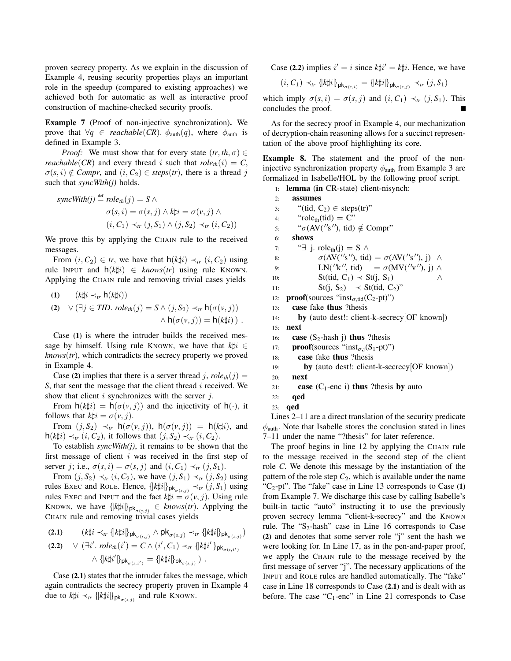proven secrecy property. As we explain in the discussion of Example 4, reusing security properties plays an important role in the speedup (compared to existing approaches) we achieved both for automatic as well as interactive proof construction of machine-checked security proofs.

Example 7 (Proof of non-injective synchronization). We prove that  $\forall q \in reachable(CR)$ .  $\phi_{\text{auth}}(q)$ , where  $\phi_{\text{auth}}$  is defined in Example 3.

*Proof:* We must show that for every state  $(tr, th, \sigma) \in$ *reachable*(*CR*) and every thread i such that  $role<sub>th</sub>(i) = C$ ,  $\sigma(s, i) \notin Compr$ , and  $(i, C_2) \in steps(tr)$ , there is a thread j such that *syncWith(j)* holds.

$$
syncWith(j) \stackrel{\text{def}}{=} role_{th}(j) = S \land \n\sigma(s, i) = \sigma(s, j) \land k \sharp i = \sigma(v, j) \land \n(i, C_1) \prec_{tr} (j, S_1) \land (j, S_2) \prec_{tr} (i, C_2))
$$

We prove this by applying the CHAIN rule to the received messages.

From  $(i, C_2) \in tr$ , we have that  $h(k\sharp i) \prec_{tr} (i, C_2)$  using rule INPUT and  $h(k\sharp i) \in$  *knows*(*tr*) using rule KNOWN. Applying the CHAIN rule and removing trivial cases yields

(1) 
$$
(k\sharp i \prec_{tr} h(k\sharp i))
$$
  
\n(2)  $\forall (\exists j \in TID. \; role_{th}(j) = S \land (j, S_2) \prec_{tr} h(\sigma(v, j))$   
\n $\land h(\sigma(v, j)) = h(k\sharp i)$ .

Case (1) is where the intruder builds the received message by himself. Using rule KNOWN, we have that  $k\sharp i \in$ *, which contradicts the secrecy property we proved* in Example 4.

Case (2) implies that there is a server thread j,  $role<sub>th</sub>(j)$  = *S*, that sent the message that the client thread *i* received. We show that client  $i$  synchronizes with the server  $j$ .

From  $h(k\sharp i) = h(\sigma(v, j))$  and the injectivity of  $h(\cdot)$ , it follows that  $k\sharp i = \sigma(v, j)$ .

From  $(j, S_2) \prec_{tr} h(\sigma(v, j))$ ,  $h(\sigma(v, j)) = h(k\sharp i)$ , and h(*k*‡*i*) ≺*tr* (*i*, *C*<sub>2</sub>), it follows that (*j*, *S*<sub>2</sub>) ≺*tr* (*i*, *C*<sub>2</sub>).

To establish *syncWith(j)*, it remains to be shown that the first message of client  $i$  was received in the first step of server j; i.e.,  $\sigma(s, i) = \sigma(s, j)$  and  $(i, C_1) \prec_{tr} (j, S_1)$ .

From  $(j, S_2) \prec_{tr} (i, C_2)$ , we have  $(j, S_1) \prec_{tr} (j, S_2)$  using rules EXEC and ROLE. Hence,  $\{k | \nmid i \}_{\text{pk}_{\sigma(s,j)}} \prec_{t} (j, S_1)$  using rules EXEC and INPUT and the fact  $k\sharp i = \sigma(v, j)$ . Using rule KNOWN, we have  $\{k \sharp i\}_{\mathsf{pk}_{\sigma(s,j)}} \in \mathsf{knows}(tr)$ . Applying the CHAIN rule and removing trivial cases yields

(2.1) 
$$
(k\sharp i \prec_{tr} {\{k\sharp i\}}_{pk_{\sigma(s,j)}} \wedge pk_{\sigma(s,j)} \prec_{tr} {\{k\sharp i\}}_{pk_{\sigma(s,j)}})
$$
  
(2.2) 
$$
\vee (\exists i'.\ role_{th}(i') = C \wedge (i', C_1) \prec_{tr} {\{k\sharp i'\}}_{pk_{\sigma(s,i')}}
$$

$$
\wedge \{ [k\sharp i'] \}_{\mathsf{pk}_{\sigma(s,i')}} = \{ [k\sharp i] \}_{\mathsf{pk}_{\sigma(s,j)}} ).
$$

Case (2.1) states that the intruder fakes the message, which again contradicts the secrecy property proven in Example 4 due to  $k \sharp i \prec_{tr} {\{ k \sharp i \}}_{\text{pk}_{\sigma(s,j)}}$  and rule KNOWN.

Case (2.2) implies  $i' = i$  since  $k \sharp i' = k \sharp i$ . Hence, we have

$$
(i, C_1) \prec_{tr} \{\!\{\mathbf{k} \sharp i\!\} \}_{\mathsf{pk}_{\sigma(s, i)}} = \{\!\{\mathbf{k} \sharp i\!\} \}_{\mathsf{pk}_{\sigma(s, j)}} \prec_{tr} (j, S_1)
$$

which imply  $\sigma(s, i) = \sigma(s, j)$  and  $(i, C_1) \prec_{tr} (j, S_1)$ . This concludes the proof.

As for the secrecy proof in Example 4, our mechanization of decryption-chain reasoning allows for a succinct representation of the above proof highlighting its core.

Example 8. The statement and the proof of the noninjective synchronization property  $\phi_{\text{auth}}$  from Example 3 are formalized in Isabelle/HOL by the following proof script.

```
1: lemma (in CR-state) client-nisynch:
```
2: assumes 3: "(tid,  $C_2$ )  $\in$  steps(tr)" 4: " $role<sub>th</sub>(tid) = C"$ 5:  $"\sigma(AV('s''), tid) \notin Compr"$ 6: shows 7: "∃ j. role<sub>th</sub>(j) = S  $\wedge$ 8:  $\sigma(AV('s''), tid) = \sigma(AV('s''), j) \land$ 9:  $LN('k'', tid) = \sigma(MV('v''), j) \wedge$ 10:  $St(tid, C_1) \prec St(j, S_1)$  ∧ 11:  $St(j, S_2) \prec St(tid, C_2)$ " 12: **proof**(sources "inst<sub> $\sigma$ ,tid</sub>(C<sub>2</sub>-pt)") 13: case fake thus ?thesis 14: by (auto dest!: client-k-secrecy[OF known]) 15: next 16: **case**  $(S_2$ -hash j) **thus** ?thesis 17: **proof**(sources "inst<sub> $\sigma$ ,j</sub>(S<sub>1</sub>-pt)") 18: case fake thus ?thesis 19: **by** (auto dest!: client-k-secrecy [OF known]) 20: next 21: **case** ( $C_1$ -enc i) **thus** ?thesis **by** auto 22: qed 23: qed Lines 2–11 are a direct translation of the security predicate

 $\phi$ <sub>auth</sub>. Note that Isabelle stores the conclusion stated in lines 7–11 under the name "?thesis" for later reference.

The proof begins in line 12 by applying the CHAIN rule to the message received in the second step of the client role *C*. We denote this message by the instantiation of the pattern of the role step  $C_2$ , which is available under the name "C<sub>2</sub>-pt". The "fake" case in Line 13 corresponds to Case  $(1)$ from Example 7. We discharge this case by calling Isabelle's built-in tactic "auto" instructing it to use the previously proven secrecy lemma "client-k-secrecy" and the KNOWN rule. The " $S_2$ -hash" case in Line 16 corresponds to Case (2) and denotes that some server role "j" sent the hash we were looking for. In Line 17, as in the pen-and-paper proof, we apply the CHAIN rule to the message received by the first message of server "j". The necessary applications of the INPUT and ROLE rules are handled automatically. The "fake" case in Line 18 corresponds to Case (2.1) and is dealt with as before. The case " $C_1$ -enc" in Line 21 corresponds to Case